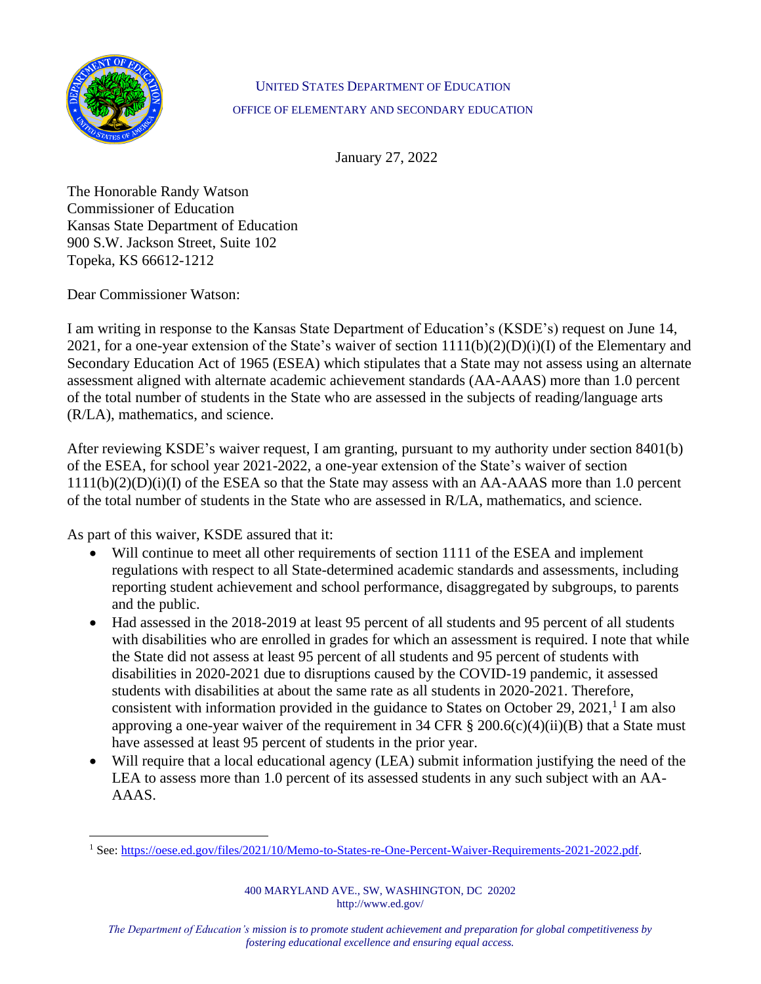

#### UNITED STATES DEPARTMENT OF EDUCATION OFFICE OF ELEMENTARY AND SECONDARY EDUCATION

January 27, 2022

The Honorable Randy Watson Commissioner of Education Kansas State Department of Education 900 S.W. Jackson Street, Suite 102 Topeka, KS 66612-1212

Dear Commissioner Watson:

I am writing in response to the Kansas State Department of Education's (KSDE's) request on June 14, 2021, for a one-year extension of the State's waiver of section  $1111(b)(2)(D)(i)(I)$  of the Elementary and Secondary Education Act of 1965 (ESEA) which stipulates that a State may not assess using an alternate assessment aligned with alternate academic achievement standards (AA-AAAS) more than 1.0 percent of the total number of students in the State who are assessed in the subjects of reading/language arts (R/LA), mathematics, and science.

After reviewing KSDE's waiver request, I am granting, pursuant to my authority under section 8401(b) of the ESEA, for school year 2021-2022, a one-year extension of the State's waiver of section  $1111(b)(2)(D)(i)(I)$  of the ESEA so that the State may assess with an AA-AAAS more than 1.0 percent of the total number of students in the State who are assessed in R/LA, mathematics, and science.

As part of this waiver, KSDE assured that it:

- Will continue to meet all other requirements of section 1111 of the ESEA and implement regulations with respect to all State-determined academic standards and assessments, including reporting student achievement and school performance, disaggregated by subgroups, to parents and the public.
- Had assessed in the 2018-2019 at least 95 percent of all students and 95 percent of all students with disabilities who are enrolled in grades for which an assessment is required. I note that while the State did not assess at least 95 percent of all students and 95 percent of students with disabilities in 2020-2021 due to disruptions caused by the COVID-19 pandemic, it assessed students with disabilities at about the same rate as all students in 2020-2021. Therefore, consistent with information provided in the guidance to States on October 29, 2021,<sup>1</sup> I am also approving a one-year waiver of the requirement in 34 CFR  $\S 200.6(c)(4)(ii)(B)$  that a State must have assessed at least 95 percent of students in the prior year.
- Will require that a local educational agency (LEA) submit information justifying the need of the LEA to assess more than 1.0 percent of its assessed students in any such subject with an AA-AAAS.

<sup>1</sup> See: [https://oese.ed.gov/files/2021/10/Memo-to-States-re-One-Percent-Waiver-Requirements-2021-2022.pdf.](https://oese.ed.gov/files/2021/10/Memo-to-States-re-One-Percent-Waiver-Requirements-2021-2022.pdf)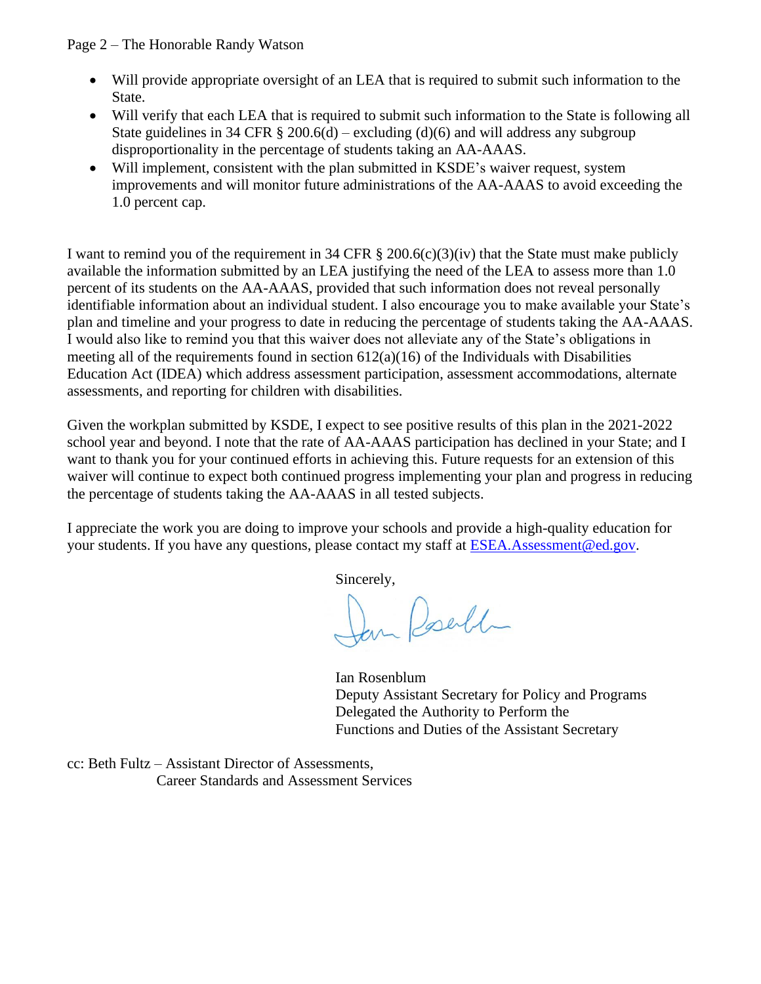Page 2 – The Honorable Randy Watson

- Will provide appropriate oversight of an LEA that is required to submit such information to the State.
- Will verify that each LEA that is required to submit such information to the State is following all State guidelines in 34 CFR  $\S$  200.6(d) – excluding (d)(6) and will address any subgroup disproportionality in the percentage of students taking an AA-AAAS.
- Will implement, consistent with the plan submitted in KSDE's waiver request, system improvements and will monitor future administrations of the AA-AAAS to avoid exceeding the 1.0 percent cap.

I want to remind you of the requirement in 34 CFR  $\S$  200.6(c)(3)(iv) that the State must make publicly available the information submitted by an LEA justifying the need of the LEA to assess more than 1.0 percent of its students on the AA-AAAS, provided that such information does not reveal personally identifiable information about an individual student. I also encourage you to make available your State's plan and timeline and your progress to date in reducing the percentage of students taking the AA-AAAS. I would also like to remind you that this waiver does not alleviate any of the State's obligations in meeting all of the requirements found in section  $612(a)(16)$  of the Individuals with Disabilities Education Act (IDEA) which address assessment participation, assessment accommodations, alternate assessments, and reporting for children with disabilities.

Given the workplan submitted by KSDE, I expect to see positive results of this plan in the 2021-2022 school year and beyond. I note that the rate of AA-AAAS participation has declined in your State; and I want to thank you for your continued efforts in achieving this. Future requests for an extension of this waiver will continue to expect both continued progress implementing your plan and progress in reducing the percentage of students taking the AA-AAAS in all tested subjects.

I appreciate the work you are doing to improve your schools and provide a high-quality education for your students. If you have any questions, please contact my staff at [ESEA.Assessment@ed.gov.](mailto:ESEA.Assessment@ed.gov)

Sincerely,

Jan Posella

Ian Rosenblum Deputy Assistant Secretary for Policy and Programs Delegated the Authority to Perform the Functions and Duties of the Assistant Secretary

cc: Beth Fultz – Assistant Director of Assessments, Career Standards and Assessment Services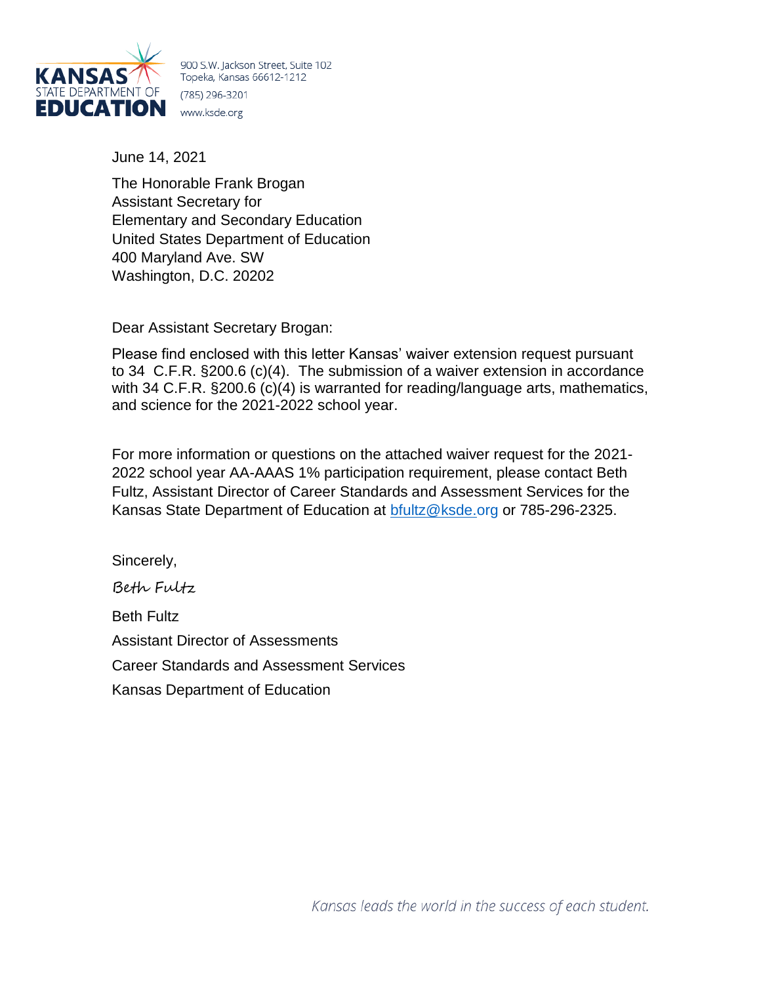

900 S.W. Jackson Street, Suite 102 Topeka, Kansas 66612-1212 (785) 296-3201 www.ksde.org

June 14, 2021

The Honorable Frank Brogan Assistant Secretary for Elementary and Secondary Education United States Department of Education 400 Maryland Ave. SW Washington, D.C. 20202

Dear Assistant Secretary Brogan:

Please find enclosed with this letter Kansas' waiver extension request pursuant to 34 C.F.R. §200.6 (c)(4). The submission of a waiver extension in accordance with 34 C.F.R. §200.6 (c)(4) is warranted for reading/language arts, mathematics, and science for the 2021-2022 school year.

For more information or questions on the attached waiver request for the 2021- 2022 school year AA-AAAS 1% participation requirement, please contact Beth Fultz, Assistant Director of Career Standards and Assessment Services for the Kansas State Department of Education at [bfultz@ksde.org](mailto:bfultz@ksde.org) or 785-296-2325.

Sincerely,

Beth Fultz Beth Fultz Assistant Director of Assessments Career Standards and Assessment Services Kansas Department of Education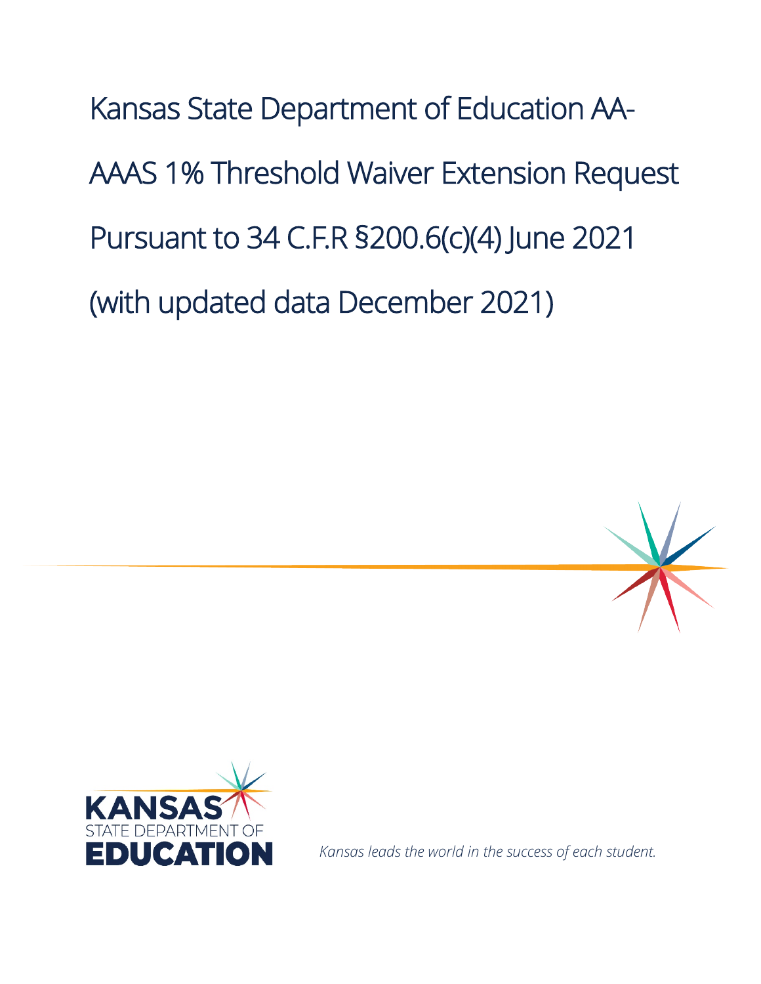Kansas State Department of Education AA-AAAS 1% Threshold Waiver Extension Request Pursuant to 34 C.F.R §200.6(c)(4) June 2021 (with updated data December 2021)





*Kansas leads the world in the success of each student.*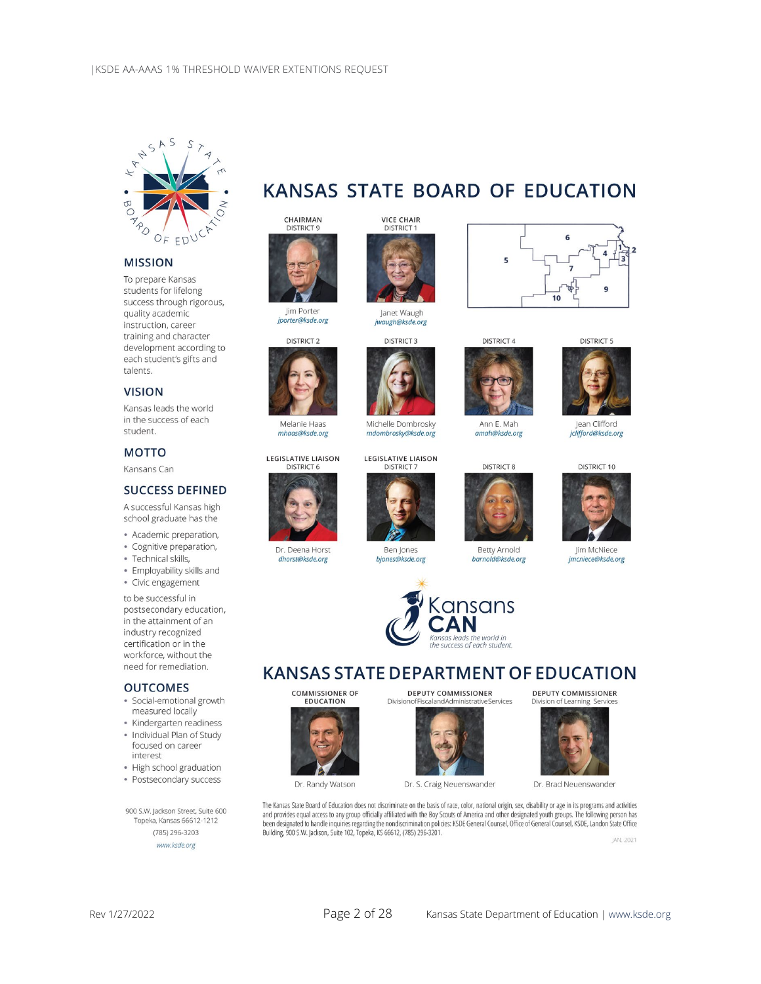

#### **MISSION**

To prepare Kansas students for lifelong success through rigorous, quality academic instruction, career training and character development according to each student's gifts and talents.

#### **VISION**

Kansas leads the world in the success of each student.

#### **MOTTO**

Kansans Can

#### **SUCCESS DEFINED**

A successful Kansas high school graduate has the

- · Academic preparation,
- · Cognitive preparation,
- · Technical skills,

· Employability skills and · Civic engagement

to be successful in postsecondary education, in the attainment of an industry recognized certification or in the workforce, without the need for remediation.

#### **OUTCOMES**

- · Social-emotional growth measured locally
- · Kindergarten readiness
- · Individual Plan of Study focused on career interest
- · High school graduation
- · Postsecondary success

900 S.W. Jackson Street, Suite 600 Topeka, Kansas 66612-1212 (785) 296-3203 www.ksde.org



**CHAIRMAN**<br>DISTRICT 9



lim Porter jporter@ksde.org



Melanie Haas mhaas@ksde.org

**LEGISLATIVE LIAISON DISTRICT 6** 



Dr. Deena Horst dhorst@ksde.org



jwaugh@ksde.org



**LEGISLATIVE LIAISON** 

**DISTRICT 7** 

Ben Jones

biones@ksde.org



 $\overline{\phantom{a}}$ 

Michelle Dombrosky amah@ksde.org mdombrosky@ksde.org





Ann E. Mah

**Betty Arnold** barnold@ksde.org



#### **KANSAS STATE DEPARTMENT OF EDUCATION**



**DEPUTY COMMISSIONER** Division ofFiscalandAdministrativeServices



The Kansas State Board of Education does not discriminate on the basis of race, color, national origin, sex, disability or age in its programs and activities<br>and provides equal access to any group officially affiliated wit been designated to handle inquiries regarding the nondiscrimination policies: KSDE General Counsel, Office of General Counsel, KSDE, Landon State Office Building, 900 S.W. Jackson, Suite 102, Topeka, KS 66612, (785) 296-3201.

JAN. 2021



9

Jean Clifford jclifford@ksde.org

**DISTRICT 10** 



lim McNiece imcniece@ksde.org

**DEPUTY COMMISSIONER** 

Dr. Brad Neuenswander

Division of Learning Servic











10

6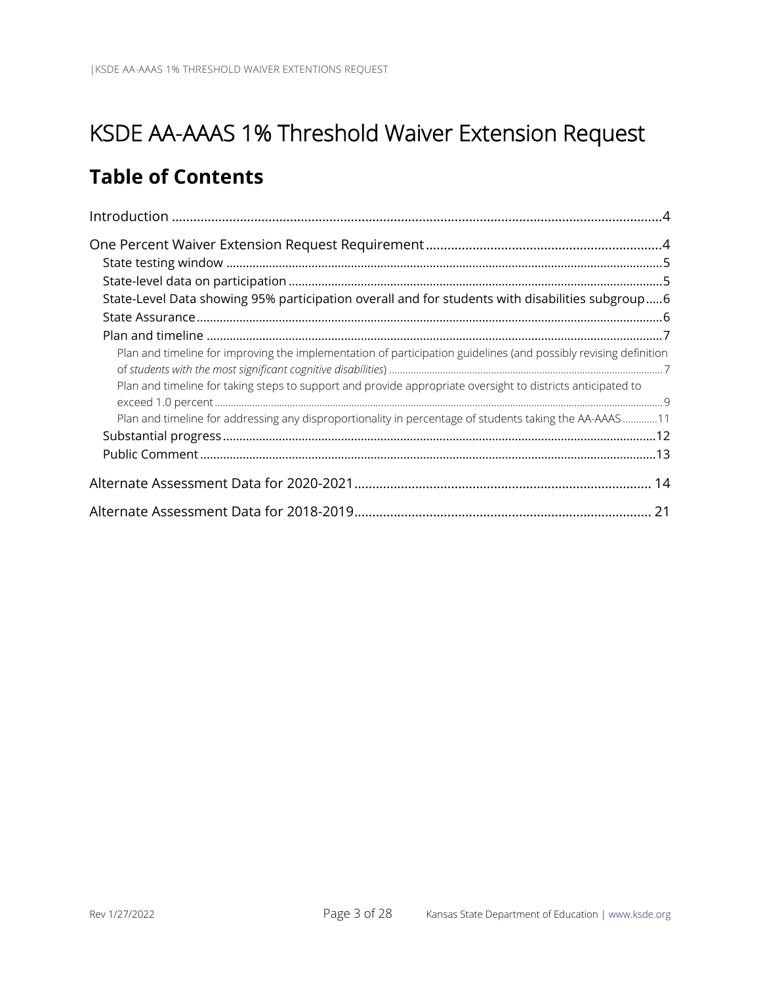### KSDE AA-AAAS 1% Threshold Waiver Extension Request

#### **Table of Contents**

| State-Level Data showing 95% participation overall and for students with disabilities subgroup6                  |  |
|------------------------------------------------------------------------------------------------------------------|--|
|                                                                                                                  |  |
|                                                                                                                  |  |
| Plan and timeline for improving the implementation of participation guidelines (and possibly revising definition |  |
|                                                                                                                  |  |
| Plan and timeline for taking steps to support and provide appropriate oversight to districts anticipated to      |  |
| Plan and timeline for addressing any disproportionality in percentage of students taking the AA-AAAS11           |  |
|                                                                                                                  |  |
|                                                                                                                  |  |
|                                                                                                                  |  |
|                                                                                                                  |  |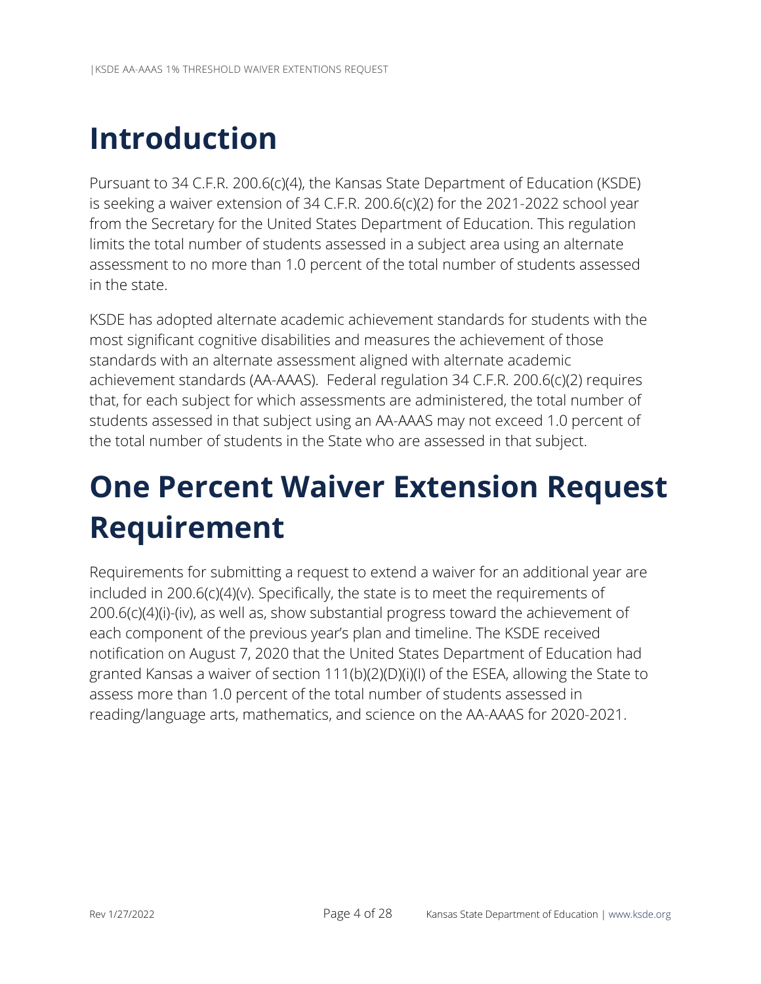# <span id="page-6-0"></span>**Introduction**

Pursuant to 34 C.F.R. 200.6(c)(4), the Kansas State Department of Education (KSDE) is seeking a waiver extension of 34 C.F.R. 200.6(c)(2) for the 2021-2022 school year from the Secretary for the United States Department of Education. This regulation limits the total number of students assessed in a subject area using an alternate assessment to no more than 1.0 percent of the total number of students assessed in the state.

KSDE has adopted alternate academic achievement standards for students with the most significant cognitive disabilities and measures the achievement of those standards with an alternate assessment aligned with alternate academic achievement standards (AA-AAAS). Federal regulation 34 C.F.R. 200.6(c)(2) requires that, for each subject for which assessments are administered, the total number of students assessed in that subject using an AA-AAAS may not exceed 1.0 percent of the total number of students in the State who are assessed in that subject.

# <span id="page-6-1"></span>**One Percent Waiver Extension Request Requirement**

Requirements for submitting a request to extend a waiver for an additional year are included in 200.6(c)(4)(v). Specifically, the state is to meet the requirements of 200.6(c)(4)(i)-(iv), as well as, show substantial progress toward the achievement of each component of the previous year's plan and timeline. The KSDE received notification on August 7, 2020 that the United States Department of Education had granted Kansas a waiver of section 111(b)(2)(D)(i)(I) of the ESEA, allowing the State to assess more than 1.0 percent of the total number of students assessed in reading/language arts, mathematics, and science on the AA-AAAS for 2020-2021.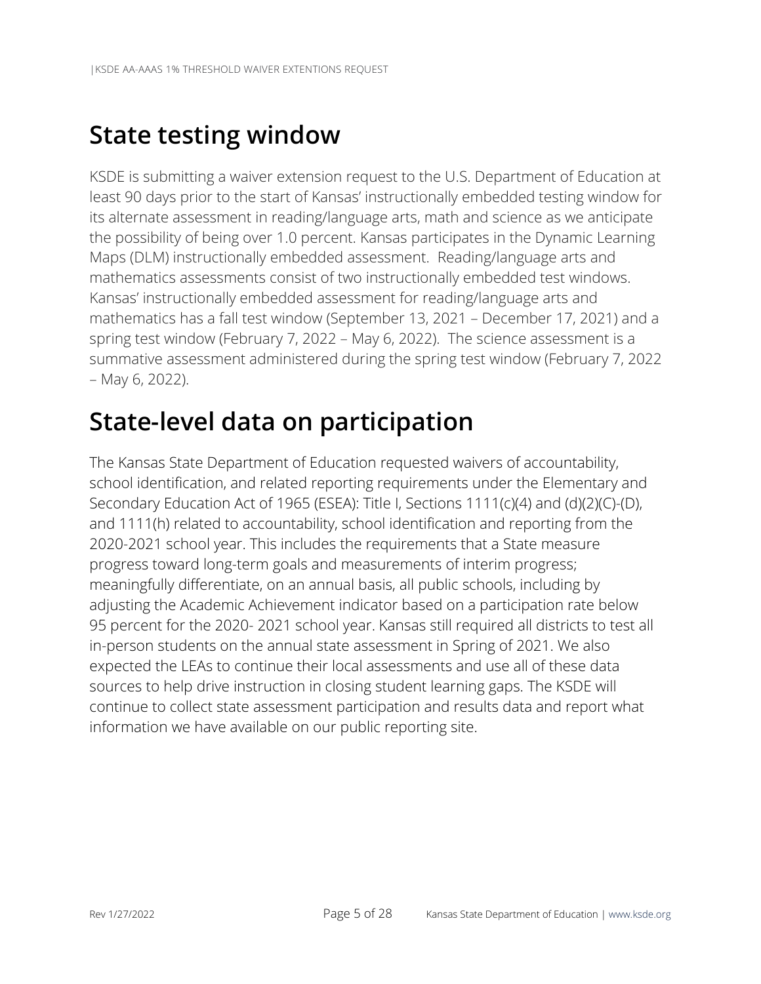### <span id="page-7-0"></span>**State testing window**

KSDE is submitting a waiver extension request to the U.S. Department of Education at least 90 days prior to the start of Kansas' instructionally embedded testing window for its alternate assessment in reading/language arts, math and science as we anticipate the possibility of being over 1.0 percent. Kansas participates in the Dynamic Learning Maps (DLM) instructionally embedded assessment. Reading/language arts and mathematics assessments consist of two instructionally embedded test windows. Kansas' instructionally embedded assessment for reading/language arts and mathematics has a fall test window (September 13, 2021 – December 17, 2021) and a spring test window (February 7, 2022 – May 6, 2022). The science assessment is a summative assessment administered during the spring test window (February 7, 2022 – May 6, 2022).

### <span id="page-7-1"></span>**State-level data on participation**

The Kansas State Department of Education requested waivers of accountability, school identification, and related reporting requirements under the Elementary and Secondary Education Act of 1965 (ESEA): Title I, Sections 1111(c)(4) and (d)(2)(C)-(D), and 1111(h) related to accountability, school identification and reporting from the 2020-2021 school year. This includes the requirements that a State measure progress toward long-term goals and measurements of interim progress; meaningfully differentiate, on an annual basis, all public schools, including by adjusting the Academic Achievement indicator based on a participation rate below 95 percent for the 2020- 2021 school year. Kansas still required all districts to test all in-person students on the annual state assessment in Spring of 2021. We also expected the LEAs to continue their local assessments and use all of these data sources to help drive instruction in closing student learning gaps. The KSDE will continue to collect state assessment participation and results data and report what information we have available on our public reporting site.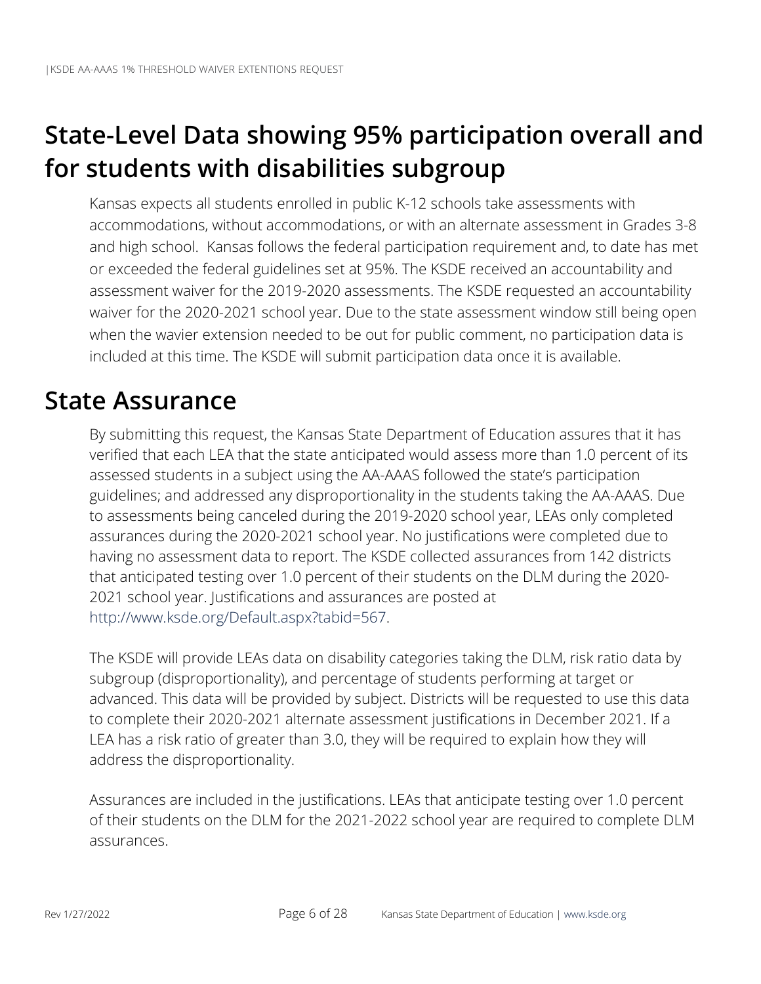## <span id="page-8-0"></span>**State-Level Data showing 95% participation overall and for students with disabilities subgroup**

Kansas expects all students enrolled in public K-12 schools take assessments with accommodations, without accommodations, or with an alternate assessment in Grades 3-8 and high school. Kansas follows the federal participation requirement and, to date has met or exceeded the federal guidelines set at 95%. The KSDE received an accountability and assessment waiver for the 2019-2020 assessments. The KSDE requested an accountability waiver for the 2020-2021 school year. Due to the state assessment window still being open when the wavier extension needed to be out for public comment, no participation data is included at this time. The KSDE will submit participation data once it is available.

### <span id="page-8-1"></span>**State Assurance**

By submitting this request, the Kansas State Department of Education assures that it has verified that each LEA that the state anticipated would assess more than 1.0 percent of its assessed students in a subject using the AA-AAAS followed the state's participation guidelines; and addressed any disproportionality in the students taking the AA-AAAS. Due to assessments being canceled during the 2019-2020 school year, LEAs only completed assurances during the 2020-2021 school year. No justifications were completed due to having no assessment data to report. The KSDE collected assurances from 142 districts that anticipated testing over 1.0 percent of their students on the DLM during the 2020- 2021 school year. Justifications and assurances are posted at [http://www.ksde.org/Default.aspx?tabid=567.](http://www.ksde.org/Default.aspx?tabid=567)

The KSDE will provide LEAs data on disability categories taking the DLM, risk ratio data by subgroup (disproportionality), and percentage of students performing at target or advanced. This data will be provided by subject. Districts will be requested to use this data to complete their 2020-2021 alternate assessment justifications in December 2021. If a LEA has a risk ratio of greater than 3.0, they will be required to explain how they will address the disproportionality.

Assurances are included in the justifications. LEAs that anticipate testing over 1.0 percent of their students on the DLM for the 2021-2022 school year are required to complete DLM assurances.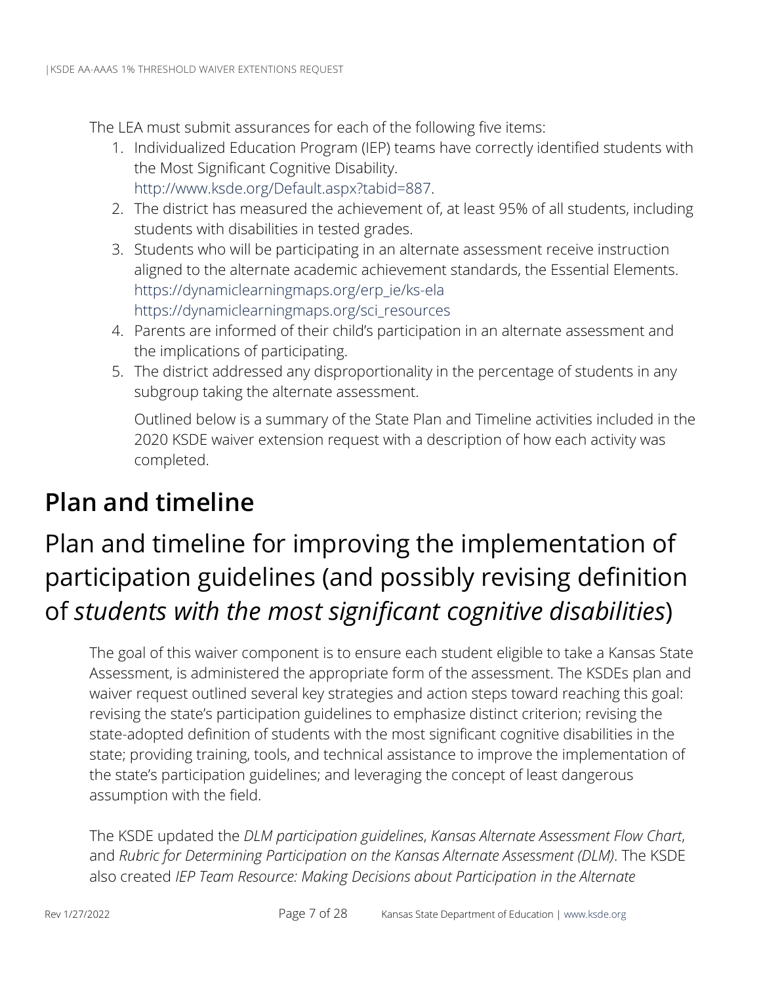The LEA must submit assurances for each of the following five items:

- 1. Individualized Education Program (IEP) teams have correctly identified students with the Most Significant Cognitive Disability. [http://www.ksde.org/Default.aspx?tabid=887.](http://www.ksde.org/Default.aspx?tabid=887)
- 2. The district has measured the achievement of, at least 95% of all students, including students with disabilities in tested grades.
- 3. Students who will be participating in an alternate assessment receive instruction aligned to the alternate academic achievement standards, the Essential Elements. [https://dynamiclearningmaps.org/erp\\_ie/ks-ela](https://dynamiclearningmaps.org/erp_ie/ks-ela)  [https://dynamiclearningmaps.org/sci\\_resources](https://dynamiclearningmaps.org/sci_resources)
- 4. Parents are informed of their child's participation in an alternate assessment and the implications of participating.
- 5. The district addressed any disproportionality in the percentage of students in any subgroup taking the alternate assessment.

Outlined below is a summary of the State Plan and Timeline activities included in the 2020 KSDE waiver extension request with a description of how each activity was completed.

### <span id="page-9-0"></span>**Plan and timeline**

## <span id="page-9-1"></span>Plan and timeline for improving the implementation of participation guidelines (and possibly revising definition of *students with the most significant cognitive disabilities*)

The goal of this waiver component is to ensure each student eligible to take a Kansas State Assessment, is administered the appropriate form of the assessment. The KSDEs plan and waiver request outlined several key strategies and action steps toward reaching this goal: revising the state's participation guidelines to emphasize distinct criterion; revising the state-adopted definition of students with the most significant cognitive disabilities in the state; providing training, tools, and technical assistance to improve the implementation of the state's participation guidelines; and leveraging the concept of least dangerous assumption with the field.

The KSDE updated the *DLM participation guidelines*, *Kansas Alternate Assessment Flow Chart*, and *Rubric for Determining Participation on the Kansas Alternate Assessment (DLM)*. The KSDE also created *IEP Team Resource: Making Decisions about Participation in the Alternate*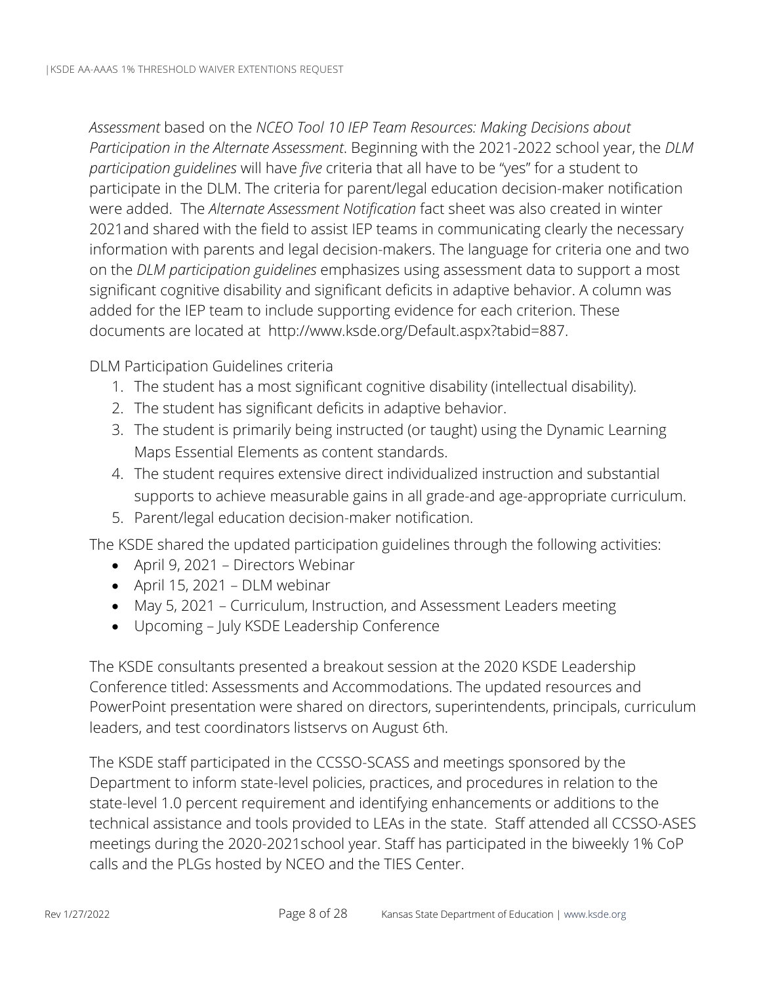*Assessment* based on the *NCEO Tool 10 IEP Team Resources: Making Decisions about Participation in the Alternate Assessment*. Beginning with the 2021-2022 school year, the *DLM participation guidelines* will have *five* criteria that all have to be "yes" for a student to participate in the DLM. The criteria for parent/legal education decision-maker notification were added. The *Alternate Assessment Notification* fact sheet was also created in winter 2021and shared with the field to assist IEP teams in communicating clearly the necessary information with parents and legal decision-makers. The language for criteria one and two on the *DLM participation guidelines* emphasizes using assessment data to support a most significant cognitive disability and significant deficits in adaptive behavior. A column was added for the IEP team to include supporting evidence for each criterion. These documents are located at [http://www.ksde.org/Default.aspx?tabid=887.](http://www.ksde.org/Default.aspx?tabid=887)

DLM Participation Guidelines criteria

- 1. The student has a most significant cognitive disability (intellectual disability).
- 2. The student has significant deficits in adaptive behavior.
- 3. The student is primarily being instructed (or taught) using the Dynamic Learning Maps Essential Elements as content standards.
- 4. The student requires extensive direct individualized instruction and substantial supports to achieve measurable gains in all grade-and age-appropriate curriculum.
- 5. Parent/legal education decision-maker notification.

The KSDE shared the updated participation guidelines through the following activities:

- April 9, 2021 Directors Webinar
- April 15, 2021 DLM webinar
- May 5, 2021 Curriculum, Instruction, and Assessment Leaders meeting
- Upcoming July KSDE Leadership Conference

The KSDE consultants presented a breakout session at the 2020 KSDE Leadership Conference titled: Assessments and Accommodations. The updated resources and PowerPoint presentation were shared on directors, superintendents, principals, curriculum leaders, and test coordinators listservs on August 6th.

The KSDE staff participated in the CCSSO-SCASS and meetings sponsored by the Department to inform state-level policies, practices, and procedures in relation to the state-level 1.0 percent requirement and identifying enhancements or additions to the technical assistance and tools provided to LEAs in the state. Staff attended all CCSSO-ASES meetings during the 2020-2021school year. Staff has participated in the biweekly 1% CoP calls and the PLGs hosted by NCEO and the TIES Center.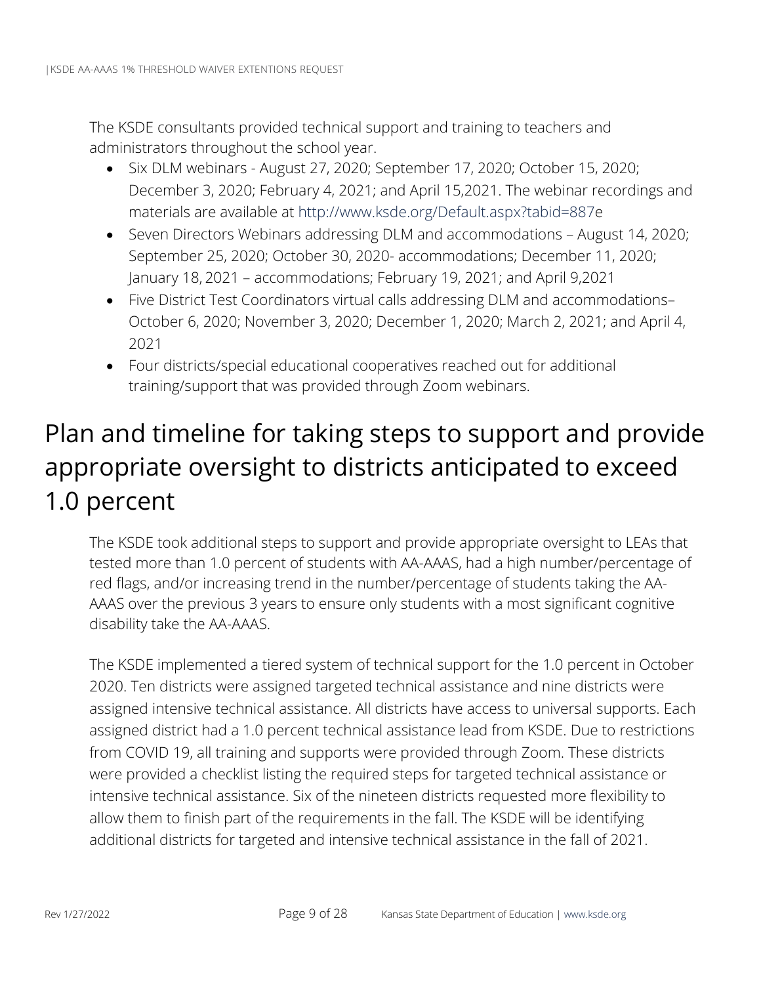The KSDE consultants provided technical support and training to teachers and administrators throughout the school year.

- Six DLM webinars August 27, 2020; September 17, 2020; October 15, 2020; December 3, 2020; February 4, 2021; and April 15,2021. The webinar recordings and materials are available at [http://www.ksde.org/Default.aspx?tabid=887e](http://www.ksde.org/Default.aspx?tabid=887)
- Seven Directors Webinars addressing DLM and accommodations August 14, 2020; September 25, 2020; October 30, 2020- accommodations; December 11, 2020; January 18, 2021 – accommodations; February 19, 2021; and April 9,2021
- Five District Test Coordinators virtual calls addressing DLM and accommodations– October 6, 2020; November 3, 2020; December 1, 2020; March 2, 2021; and April 4, 2021
- Four districts/special educational cooperatives reached out for additional training/support that was provided through Zoom webinars.

## <span id="page-11-0"></span>Plan and timeline for taking steps to support and provide appropriate oversight to districts anticipated to exceed 1.0 percent

The KSDE took additional steps to support and provide appropriate oversight to LEAs that tested more than 1.0 percent of students with AA-AAAS, had a high number/percentage of red flags, and/or increasing trend in the number/percentage of students taking the AA-AAAS over the previous 3 years to ensure only students with a most significant cognitive disability take the AA-AAAS.

The KSDE implemented a tiered system of technical support for the 1.0 percent in October 2020. Ten districts were assigned targeted technical assistance and nine districts were assigned intensive technical assistance. All districts have access to universal supports. Each assigned district had a 1.0 percent technical assistance lead from KSDE. Due to restrictions from COVID 19, all training and supports were provided through Zoom. These districts were provided a checklist listing the required steps for targeted technical assistance or intensive technical assistance. Six of the nineteen districts requested more flexibility to allow them to finish part of the requirements in the fall. The KSDE will be identifying additional districts for targeted and intensive technical assistance in the fall of 2021.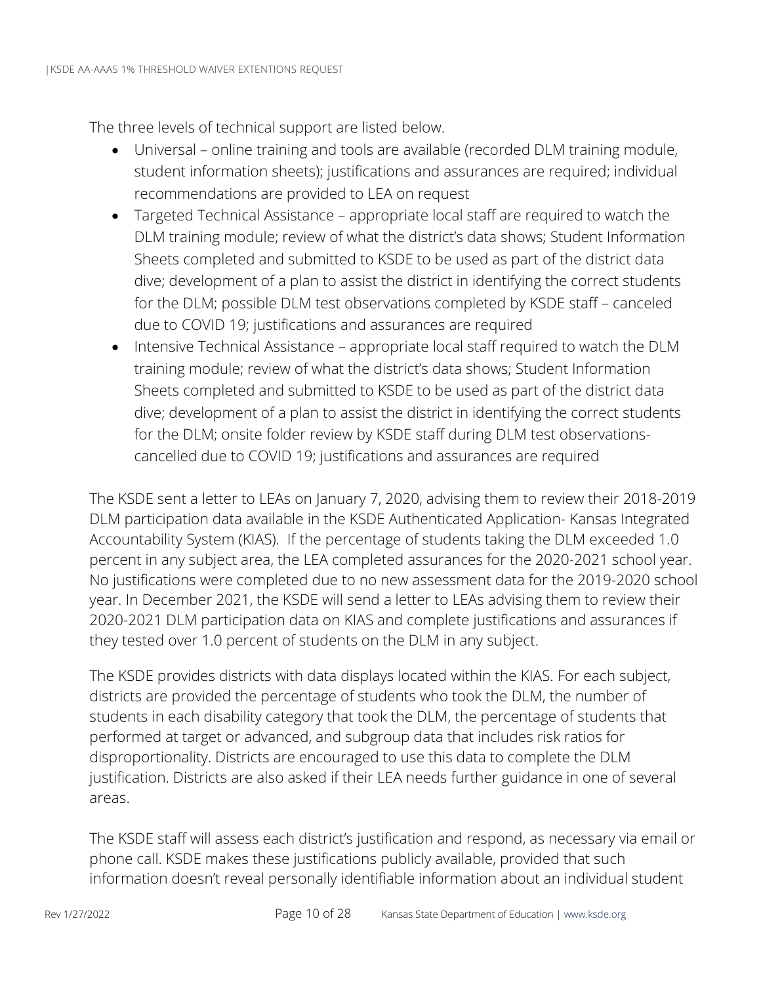The three levels of technical support are listed below.

- Universal online training and tools are available (recorded DLM training module, student information sheets); justifications and assurances are required; individual recommendations are provided to LEA on request
- Targeted Technical Assistance appropriate local staff are required to watch the DLM training module; review of what the district's data shows; Student Information Sheets completed and submitted to KSDE to be used as part of the district data dive; development of a plan to assist the district in identifying the correct students for the DLM; possible DLM test observations completed by KSDE staff – canceled due to COVID 19; justifications and assurances are required
- Intensive Technical Assistance appropriate local staff required to watch the DLM training module; review of what the district's data shows; Student Information Sheets completed and submitted to KSDE to be used as part of the district data dive; development of a plan to assist the district in identifying the correct students for the DLM; onsite folder review by KSDE staff during DLM test observationscancelled due to COVID 19; justifications and assurances are required

The KSDE sent a letter to LEAs on January 7, 2020, advising them to review their 2018-2019 DLM participation data available in the KSDE Authenticated Application- Kansas Integrated Accountability System (KIAS). If the percentage of students taking the DLM exceeded 1.0 percent in any subject area, the LEA completed assurances for the 2020-2021 school year. No justifications were completed due to no new assessment data for the 2019-2020 school year. In December 2021, the KSDE will send a letter to LEAs advising them to review their 2020-2021 DLM participation data on KIAS and complete justifications and assurances if they tested over 1.0 percent of students on the DLM in any subject.

The KSDE provides districts with data displays located within the KIAS. For each subject, districts are provided the percentage of students who took the DLM, the number of students in each disability category that took the DLM, the percentage of students that performed at target or advanced, and subgroup data that includes risk ratios for disproportionality. Districts are encouraged to use this data to complete the DLM justification. Districts are also asked if their LEA needs further guidance in one of several areas.

The KSDE staff will assess each district's justification and respond, as necessary via email or phone call. KSDE makes these justifications publicly available, provided that such information doesn't reveal personally identifiable information about an individual student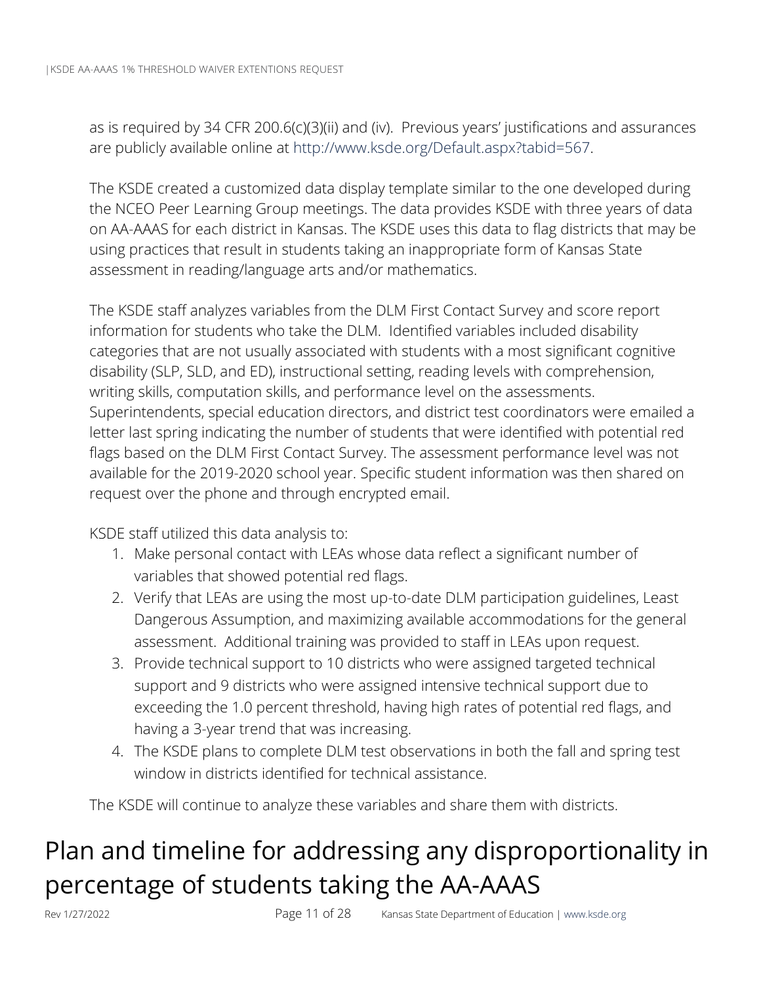as is required by 34 CFR 200.6(c)(3)(ii) and (iv). Previous years' justifications and assurances are publicly available online at [http://www.ksde.org/Default.aspx?tabid=567.](http://www.ksde.org/Default.aspx?tabid=567)

The KSDE created a customized data display template similar to the one developed during the NCEO Peer Learning Group meetings. The data provides KSDE with three years of data on AA-AAAS for each district in Kansas. The KSDE uses this data to flag districts that may be using practices that result in students taking an inappropriate form of Kansas State assessment in reading/language arts and/or mathematics.

The KSDE staff analyzes variables from the DLM First Contact Survey and score report information for students who take the DLM. Identified variables included disability categories that are not usually associated with students with a most significant cognitive disability (SLP, SLD, and ED), instructional setting, reading levels with comprehension, writing skills, computation skills, and performance level on the assessments. Superintendents, special education directors, and district test coordinators were emailed a letter last spring indicating the number of students that were identified with potential red flags based on the DLM First Contact Survey. The assessment performance level was not available for the 2019-2020 school year. Specific student information was then shared on request over the phone and through encrypted email.

KSDE staff utilized this data analysis to:

- 1. Make personal contact with LEAs whose data reflect a significant number of variables that showed potential red flags.
- 2. Verify that LEAs are using the most up-to-date DLM participation guidelines, Least Dangerous Assumption, and maximizing available accommodations for the general assessment. Additional training was provided to staff in LEAs upon request.
- 3. Provide technical support to 10 districts who were assigned targeted technical support and 9 districts who were assigned intensive technical support due to exceeding the 1.0 percent threshold, having high rates of potential red flags, and having a 3-year trend that was increasing.
- 4. The KSDE plans to complete DLM test observations in both the fall and spring test window in districts identified for technical assistance.

The KSDE will continue to analyze these variables and share them with districts.

## <span id="page-13-0"></span>Plan and timeline for addressing any disproportionality in percentage of students taking the AA-AAAS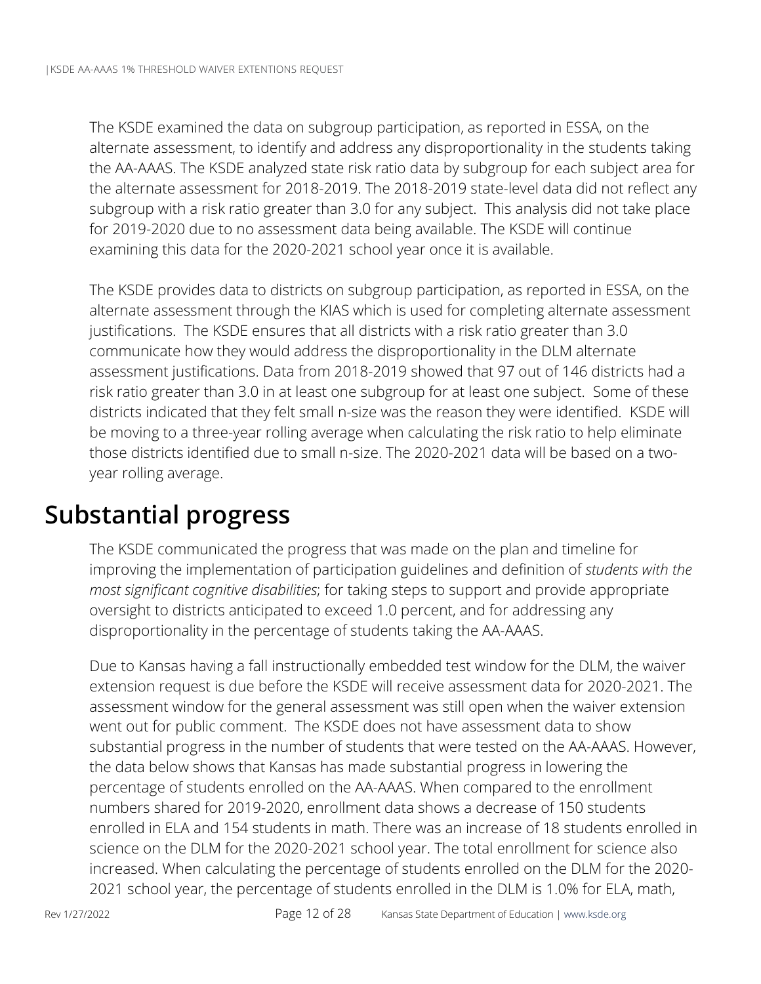The KSDE examined the data on subgroup participation, as reported in ESSA, on the alternate assessment, to identify and address any disproportionality in the students taking the AA-AAAS. The KSDE analyzed state risk ratio data by subgroup for each subject area for the alternate assessment for 2018-2019. The 2018-2019 state-level data did not reflect any subgroup with a risk ratio greater than 3.0 for any subject. This analysis did not take place for 2019-2020 due to no assessment data being available. The KSDE will continue examining this data for the 2020-2021 school year once it is available.

The KSDE provides data to districts on subgroup participation, as reported in ESSA, on the alternate assessment through the KIAS which is used for completing alternate assessment justifications. The KSDE ensures that all districts with a risk ratio greater than 3.0 communicate how they would address the disproportionality in the DLM alternate assessment justifications. Data from 2018-2019 showed that 97 out of 146 districts had a risk ratio greater than 3.0 in at least one subgroup for at least one subject. Some of these districts indicated that they felt small n-size was the reason they were identified. KSDE will be moving to a three-year rolling average when calculating the risk ratio to help eliminate those districts identified due to small n-size. The 2020-2021 data will be based on a twoyear rolling average.

### <span id="page-14-0"></span>**Substantial progress**

The KSDE communicated the progress that was made on the plan and timeline for improving the implementation of participation guidelines and definition of *students with the most significant cognitive disabilities*; for taking steps to support and provide appropriate oversight to districts anticipated to exceed 1.0 percent, and for addressing any disproportionality in the percentage of students taking the AA-AAAS.

Due to Kansas having a fall instructionally embedded test window for the DLM, the waiver extension request is due before the KSDE will receive assessment data for 2020-2021. The assessment window for the general assessment was still open when the waiver extension went out for public comment. The KSDE does not have assessment data to show substantial progress in the number of students that were tested on the AA-AAAS. However, the data below shows that Kansas has made substantial progress in lowering the percentage of students enrolled on the AA-AAAS. When compared to the enrollment numbers shared for 2019-2020, enrollment data shows a decrease of 150 students enrolled in ELA and 154 students in math. There was an increase of 18 students enrolled in science on the DLM for the 2020-2021 school year. The total enrollment for science also increased. When calculating the percentage of students enrolled on the DLM for the 2020- 2021 school year, the percentage of students enrolled in the DLM is 1.0% for ELA, math,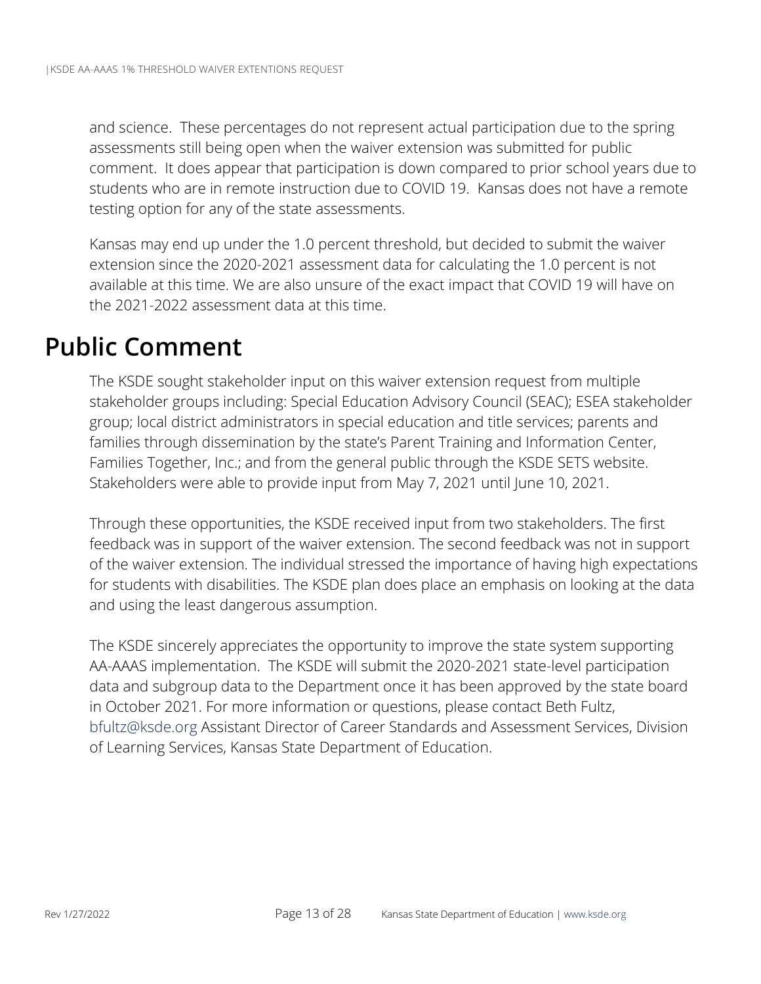and science. These percentages do not represent actual participation due to the spring assessments still being open when the waiver extension was submitted for public comment. It does appear that participation is down compared to prior school years due to students who are in remote instruction due to COVID 19. Kansas does not have a remote testing option for any of the state assessments.

Kansas may end up under the 1.0 percent threshold, but decided to submit the waiver extension since the 2020-2021 assessment data for calculating the 1.0 percent is not available at this time. We are also unsure of the exact impact that COVID 19 will have on the 2021-2022 assessment data at this time.

### <span id="page-15-0"></span>**Public Comment**

The KSDE sought stakeholder input on this waiver extension request from multiple stakeholder groups including: Special Education Advisory Council (SEAC); ESEA stakeholder group; local district administrators in special education and title services; parents and families through dissemination by the state's Parent Training and Information Center, Families Together, Inc.; and from the general public through the KSDE SETS website. Stakeholders were able to provide input from May 7, 2021 until June 10, 2021.

Through these opportunities, the KSDE received input from two stakeholders. The first feedback was in support of the waiver extension. The second feedback was not in support of the waiver extension. The individual stressed the importance of having high expectations for students with disabilities. The KSDE plan does place an emphasis on looking at the data and using the least dangerous assumption.

The KSDE sincerely appreciates the opportunity to improve the state system supporting AA-AAAS implementation. The KSDE will submit the 2020-2021 state-level participation data and subgroup data to the Department once it has been approved by the state board in October 2021. For more information or questions, please contact Beth Fultz, [bfultz@ksde.org](mailto:bfultz@ksde.org) Assistant Director of Career Standards and Assessment Services, Division of Learning Services, Kansas State Department of Education.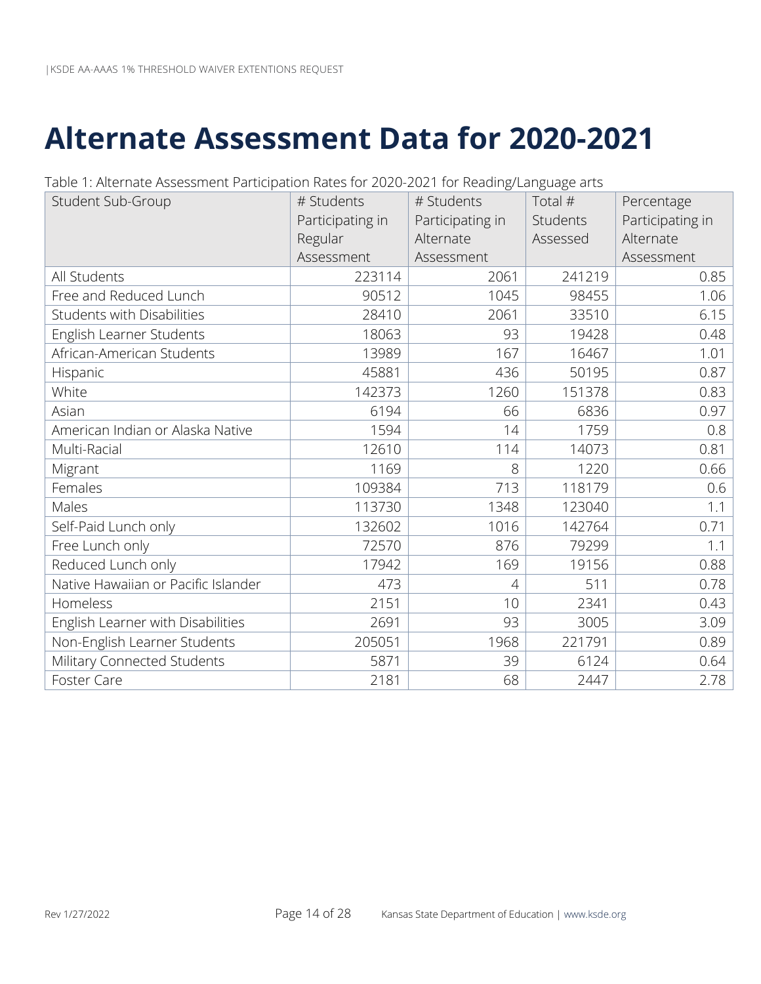# <span id="page-16-0"></span>**Alternate Assessment Data for 2020-2021**

| Student Sub-Group                   | # Students       | # Students       | Total #  | Percentage       |
|-------------------------------------|------------------|------------------|----------|------------------|
|                                     | Participating in | Participating in | Students | Participating in |
|                                     | Regular          | Alternate        | Assessed | Alternate        |
|                                     | Assessment       | Assessment       |          | Assessment       |
| All Students                        | 223114           | 2061             | 241219   | 0.85             |
| Free and Reduced Lunch              | 90512            | 1045             | 98455    | 1.06             |
| <b>Students with Disabilities</b>   | 28410            | 2061             | 33510    | 6.15             |
| English Learner Students            | 18063            | 93               | 19428    | 0.48             |
| African-American Students           | 13989            | 167              | 16467    | 1.01             |
| Hispanic                            | 45881            | 436              | 50195    | 0.87             |
| White                               | 142373           | 1260             | 151378   | 0.83             |
| Asian                               | 6194             | 66               | 6836     | 0.97             |
| American Indian or Alaska Native    | 1594             | 14               | 1759     | 0.8              |
| Multi-Racial                        | 12610            | 114              | 14073    | 0.81             |
| Migrant                             | 1169             | 8                | 1220     | 0.66             |
| Females                             | 109384           | 713              | 118179   | 0.6              |
| Males                               | 113730           | 1348             | 123040   | 1.1              |
| Self-Paid Lunch only                | 132602           | 1016             | 142764   | 0.71             |
| Free Lunch only                     | 72570            | 876              | 79299    | 1.1              |
| Reduced Lunch only                  | 17942            | 169              | 19156    | 0.88             |
| Native Hawaiian or Pacific Islander | 473              | $\overline{4}$   | 511      | 0.78             |
| Homeless                            | 2151             | 10               | 2341     | 0.43             |
| English Learner with Disabilities   | 2691             | 93               | 3005     | 3.09             |
| Non-English Learner Students        | 205051           | 1968             | 221791   | 0.89             |
| Military Connected Students         | 5871             | 39               | 6124     | 0.64             |
| Foster Care                         | 2181             | 68               | 2447     | 2.78             |

Table 1: Alternate Assessment Participation Rates for 2020-2021 for Reading/Language arts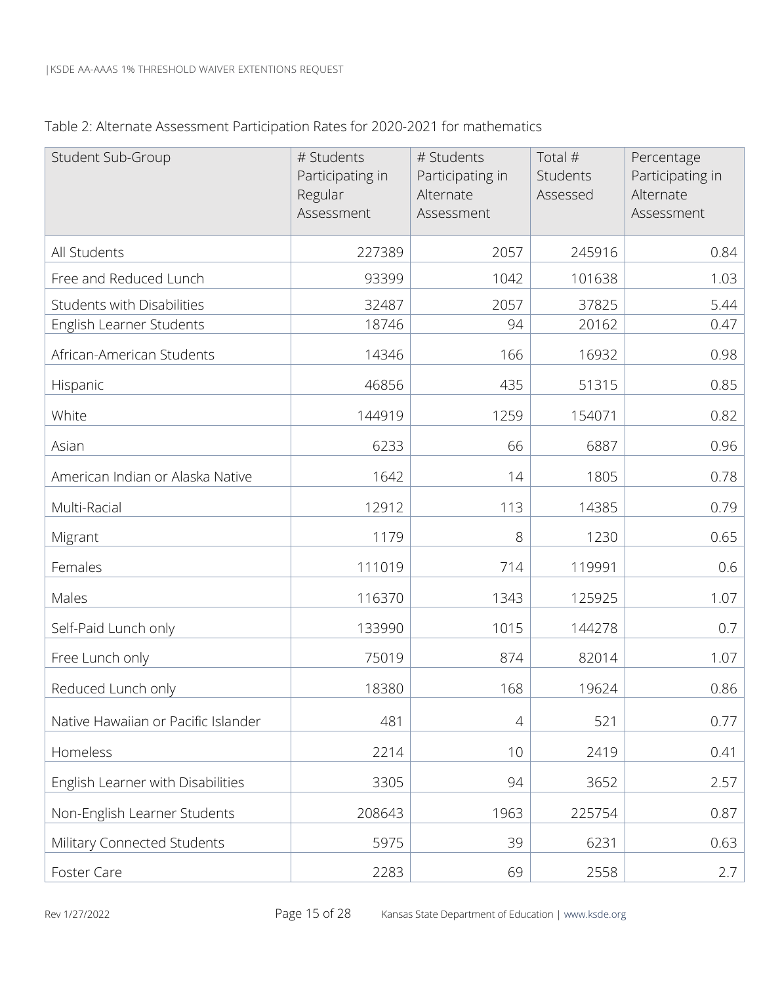| Table 2: Alternate Assessment Participation Rates for 2020-2021 for mathematics |  |  |
|---------------------------------------------------------------------------------|--|--|
|                                                                                 |  |  |

| Student Sub-Group                   | # Students<br>Participating in<br>Regular<br>Assessment | # Students<br>Participating in<br>Alternate<br>Assessment | Total #<br>Students<br>Assessed | Percentage<br>Participating in<br>Alternate<br>Assessment |
|-------------------------------------|---------------------------------------------------------|-----------------------------------------------------------|---------------------------------|-----------------------------------------------------------|
| All Students                        | 227389                                                  | 2057                                                      | 245916                          | 0.84                                                      |
| Free and Reduced Lunch              | 93399                                                   | 1042                                                      | 101638                          | 1.03                                                      |
| <b>Students with Disabilities</b>   | 32487                                                   | 2057                                                      | 37825                           | 5.44                                                      |
| English Learner Students            | 18746                                                   | 94                                                        | 20162                           | 0.47                                                      |
| African-American Students           | 14346                                                   | 166                                                       | 16932                           | 0.98                                                      |
| Hispanic                            | 46856                                                   | 435                                                       | 51315                           | 0.85                                                      |
| White                               | 144919                                                  | 1259                                                      | 154071                          | 0.82                                                      |
| Asian                               | 6233                                                    | 66                                                        | 6887                            | 0.96                                                      |
| American Indian or Alaska Native    | 1642                                                    | 14                                                        | 1805                            | 0.78                                                      |
| Multi-Racial                        | 12912                                                   | 113                                                       | 14385                           | 0.79                                                      |
| Migrant                             | 1179                                                    | 8                                                         | 1230                            | 0.65                                                      |
| Females                             | 111019                                                  | 714                                                       | 119991                          | 0.6                                                       |
| Males                               | 116370                                                  | 1343                                                      | 125925                          | 1.07                                                      |
| Self-Paid Lunch only                | 133990                                                  | 1015                                                      | 144278                          | 0.7                                                       |
| Free Lunch only                     | 75019                                                   | 874                                                       | 82014                           | 1.07                                                      |
| Reduced Lunch only                  | 18380                                                   | 168                                                       | 19624                           | 0.86                                                      |
| Native Hawaiian or Pacific Islander | 481                                                     | $\overline{4}$                                            | 521                             | 0.77                                                      |
| Homeless                            | 2214                                                    | 10                                                        | 2419                            | 0.41                                                      |
| English Learner with Disabilities   | 3305                                                    | 94                                                        | 3652                            | 2.57                                                      |
| Non-English Learner Students        | 208643                                                  | 1963                                                      | 225754                          | 0.87                                                      |
| Military Connected Students         | 5975                                                    | 39                                                        | 6231                            | 0.63                                                      |
| Foster Care                         | 2283                                                    | 69                                                        | 2558                            | 2.7                                                       |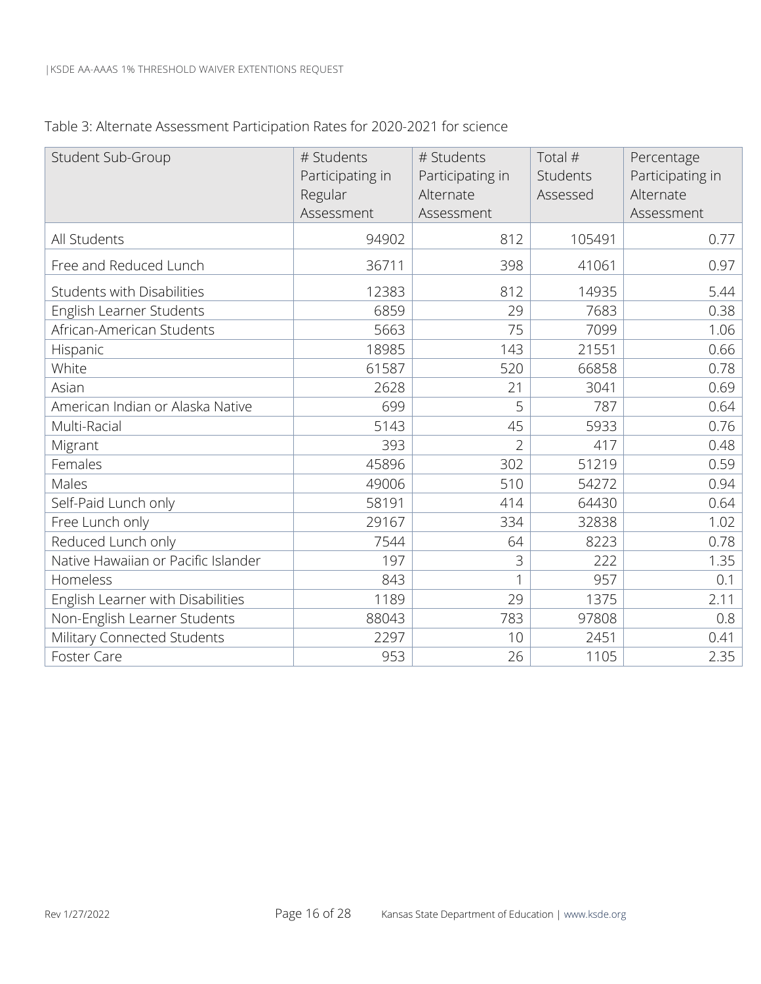| Table 3: Alternate Assessment Participation Rates for 2020-2021 for science |  |  |  |
|-----------------------------------------------------------------------------|--|--|--|
|                                                                             |  |  |  |

| Student Sub-Group                   | # Students<br>Participating in<br>Regular<br>Assessment | # Students<br>Participating in<br>Alternate<br>Assessment | Total #<br>Students<br>Assessed | Percentage<br>Participating in<br>Alternate<br>Assessment |
|-------------------------------------|---------------------------------------------------------|-----------------------------------------------------------|---------------------------------|-----------------------------------------------------------|
| All Students                        | 94902                                                   | 812                                                       | 105491                          | 0.77                                                      |
| Free and Reduced Lunch              | 36711                                                   | 398                                                       | 41061                           | 0.97                                                      |
| Students with Disabilities          | 12383                                                   | 812                                                       | 14935                           | 5.44                                                      |
| English Learner Students            | 6859                                                    | 29                                                        | 7683                            | 0.38                                                      |
| African-American Students           | 5663                                                    | 75                                                        | 7099                            | 1.06                                                      |
| Hispanic                            | 18985                                                   | 143                                                       | 21551                           | 0.66                                                      |
| White                               | 61587                                                   | 520                                                       | 66858                           | 0.78                                                      |
| Asian                               | 2628                                                    | 21                                                        | 3041                            | 0.69                                                      |
| American Indian or Alaska Native    | 699                                                     | 5                                                         | 787                             | 0.64                                                      |
| Multi-Racial                        | 5143                                                    | 45                                                        | 5933                            | 0.76                                                      |
| Migrant                             | 393                                                     | $\overline{2}$                                            | 417                             | 0.48                                                      |
| Females                             | 45896                                                   | 302                                                       | 51219                           | 0.59                                                      |
| Males                               | 49006                                                   | 510                                                       | 54272                           | 0.94                                                      |
| Self-Paid Lunch only                | 58191                                                   | 414                                                       | 64430                           | 0.64                                                      |
| Free Lunch only                     | 29167                                                   | 334                                                       | 32838                           | 1.02                                                      |
| Reduced Lunch only                  | 7544                                                    | 64                                                        | 8223                            | 0.78                                                      |
| Native Hawaiian or Pacific Islander | 197                                                     | $\mathfrak{Z}$                                            | 222                             | 1.35                                                      |
| Homeless                            | 843                                                     |                                                           | 957                             | 0.1                                                       |
| English Learner with Disabilities   | 1189                                                    | 29                                                        | 1375                            | 2.11                                                      |
| Non-English Learner Students        | 88043                                                   | 783                                                       | 97808                           | 0.8                                                       |
| Military Connected Students         | 2297                                                    | 10                                                        | 2451                            | 0.41                                                      |
| Foster Care                         | 953                                                     | 26                                                        | 1105                            | 2.35                                                      |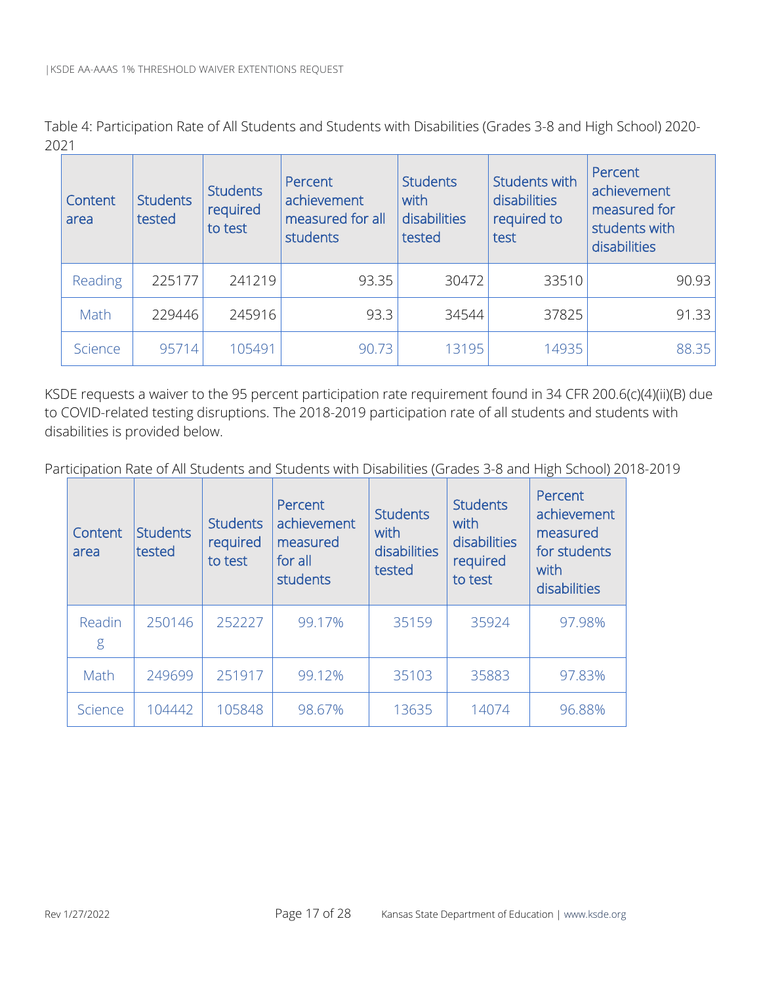Table 4: Participation Rate of All Students and Students with Disabilities (Grades 3-8 and High School) 2020- 2021

| Content<br>area | <b>Students</b><br>tested | <b>Students</b><br>required<br>to test | Percent<br>achievement<br>measured for all<br>students | <b>Students</b><br>with<br>disabilities<br>tested | <b>Students with</b><br>disabilities<br>required to<br>test | Percent<br>achievement<br>measured for<br>students with<br>disabilities |
|-----------------|---------------------------|----------------------------------------|--------------------------------------------------------|---------------------------------------------------|-------------------------------------------------------------|-------------------------------------------------------------------------|
| Reading         | 225177                    | 241219                                 | 93.35                                                  | 30472                                             | 33510                                                       | 90.93                                                                   |
| Math            | 229446                    | 245916                                 | 93.3                                                   | 34544                                             | 37825                                                       | 91.33                                                                   |
| Science         | 95714                     | 105491                                 | 90.73                                                  | 13195                                             | 14935                                                       | 88.35                                                                   |

KSDE requests a waiver to the 95 percent participation rate requirement found in 34 CFR 200.6(c)(4)(ii)(B) due to COVID-related testing disruptions. The 2018-2019 participation rate of all students and students with disabilities is provided below.

Participation Rate of All Students and Students with Disabilities (Grades 3-8 and High School) 2018-2019

| Content<br>area | <b>Students</b><br><b>Itested</b> | <b>Students</b><br>required<br>to test | Percent<br>achievement<br>measured<br>for all<br>students | <b>Students</b><br>with<br>disabilities<br>tested | <b>Students</b><br>with<br>disabilities<br>required<br>to test | Percent<br>achievement<br>measured<br>for students<br>with<br>disabilities |
|-----------------|-----------------------------------|----------------------------------------|-----------------------------------------------------------|---------------------------------------------------|----------------------------------------------------------------|----------------------------------------------------------------------------|
| Readin<br>g     | 250146                            | 252227                                 | 99.17%                                                    | 35159                                             | 35924                                                          | 97.98%                                                                     |
| Math            | 249699                            | 251917                                 | 99.12%                                                    | 35103                                             | 35883                                                          | 97.83%                                                                     |
| Science         | 104442                            | 105848                                 | 98.67%                                                    | 13635                                             | 14074                                                          | 96.88%                                                                     |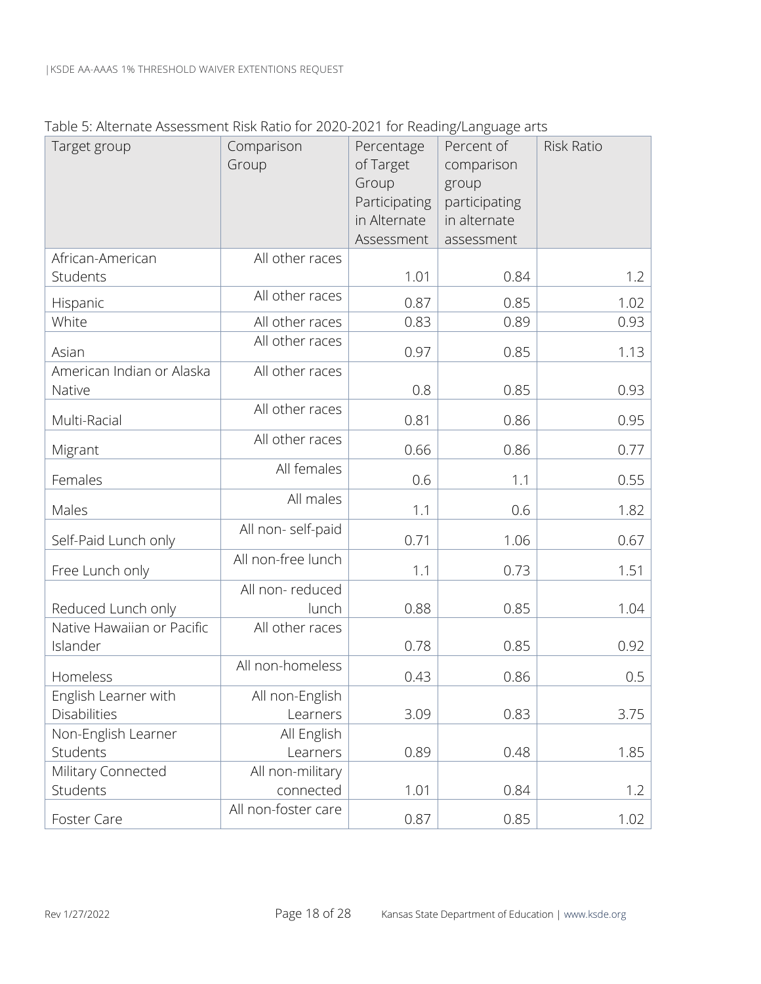|                            | mentione possobilient montration of 2020 2021 for neading cargadge and |               |               |                   |
|----------------------------|------------------------------------------------------------------------|---------------|---------------|-------------------|
| Target group               | Comparison                                                             | Percentage    | Percent of    | <b>Risk Ratio</b> |
|                            | Group                                                                  | of Target     | comparison    |                   |
|                            |                                                                        | Group         | group         |                   |
|                            |                                                                        | Participating | participating |                   |
|                            |                                                                        | in Alternate  | in alternate  |                   |
|                            |                                                                        | Assessment    | assessment    |                   |
| African-American           | All other races                                                        |               |               |                   |
| Students                   |                                                                        | 1.01          | 0.84          | 1.2               |
| Hispanic                   | All other races                                                        | 0.87          | 0.85          | 1.02              |
| White                      | All other races                                                        | 0.83          | 0.89          | 0.93              |
| Asian                      | All other races                                                        | 0.97          | 0.85          | 1.13              |
| American Indian or Alaska  | All other races                                                        |               |               |                   |
| Native                     |                                                                        | 0.8           | 0.85          | 0.93              |
|                            | All other races                                                        |               |               |                   |
| Multi-Racial               |                                                                        | 0.81          | 0.86          | 0.95              |
| Migrant                    | All other races                                                        | 0.66          | 0.86          | 0.77              |
| Females                    | All females                                                            | 0.6           | 1.1           | 0.55              |
| Males                      | All males                                                              | 1.1           | 0.6           | 1.82              |
| Self-Paid Lunch only       | All non-self-paid                                                      | 0.71          | 1.06          | 0.67              |
|                            | All non-free lunch                                                     |               |               |                   |
| Free Lunch only            |                                                                        | 1.1           | 0.73          | 1.51              |
|                            | All non-reduced                                                        |               |               |                   |
| Reduced Lunch only         | lunch                                                                  | 0.88          | 0.85          | 1.04              |
| Native Hawaiian or Pacific | All other races                                                        |               |               |                   |
| Islander                   |                                                                        | 0.78          | 0.85          | 0.92              |
| Homeless                   | All non-homeless                                                       | 0.43          | 0.86          | 0.5               |
| English Learner with       | All non-English                                                        |               |               |                   |
| Disabilities               | Learners                                                               | 3.09          | 0.83          | 3.75              |
| Non-English Learner        | All English                                                            |               |               |                   |
| Students                   | Learners                                                               | 0.89          | 0.48          | 1.85              |
| Military Connected         | All non-military                                                       |               |               |                   |
| Students                   | connected                                                              | 1.01          | 0.84          | 1.2               |
| Foster Care                | All non-foster care                                                    | 0.87          | 0.85          | 1.02              |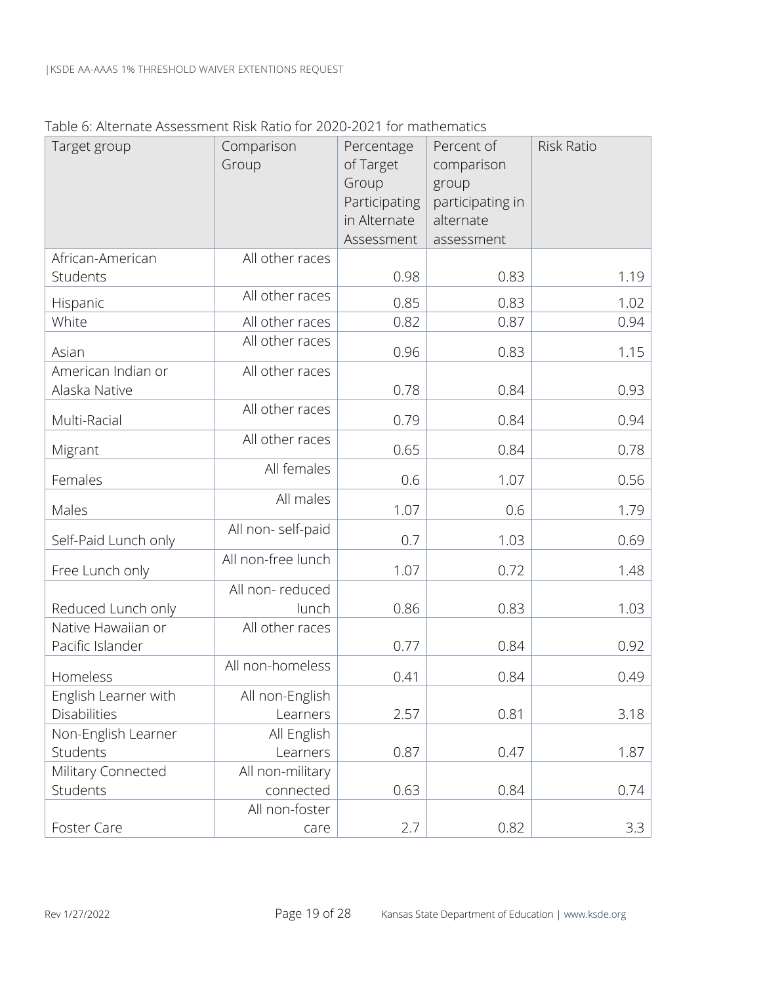#### Table 6: Alternate Assessment Risk Ratio for 2020-2021 for mathematics

| Target group                             | Comparison<br>Group      | Percentage<br>of Target<br>Group<br>Participating<br>in Alternate<br>Assessment | Percent of<br>comparison<br>group<br>participating in<br>alternate<br>assessment | Risk Ratio |
|------------------------------------------|--------------------------|---------------------------------------------------------------------------------|----------------------------------------------------------------------------------|------------|
| African-American                         | All other races          |                                                                                 |                                                                                  |            |
| Students                                 |                          | 0.98                                                                            | 0.83                                                                             | 1.19       |
| Hispanic                                 | All other races          | 0.85                                                                            | 0.83                                                                             | 1.02       |
| White                                    | All other races          | 0.82                                                                            | 0.87                                                                             | 0.94       |
| Asian                                    | All other races          | 0.96                                                                            | 0.83                                                                             | 1.15       |
| American Indian or<br>Alaska Native      | All other races          | 0.78                                                                            | 0.84                                                                             | 0.93       |
| Multi-Racial                             | All other races          | 0.79                                                                            | 0.84                                                                             | 0.94       |
| Migrant                                  | All other races          | 0.65                                                                            | 0.84                                                                             | 0.78       |
| Females                                  | All females              | 0.6                                                                             | 1.07                                                                             | 0.56       |
| Males                                    | All males                | 1.07                                                                            | 0.6                                                                              | 1.79       |
| Self-Paid Lunch only                     | All non-self-paid        | 0.7                                                                             | 1.03                                                                             | 0.69       |
| Free Lunch only                          | All non-free lunch       | 1.07                                                                            | 0.72                                                                             | 1.48       |
|                                          | All non-reduced<br>lunch | 0.86                                                                            | 0.83                                                                             | 1.03       |
| Reduced Lunch only<br>Native Hawaiian or | All other races          |                                                                                 |                                                                                  |            |
| Pacific Islander                         |                          | 0.77                                                                            | 0.84                                                                             | 0.92       |
| Homeless                                 | All non-homeless         | 0.41                                                                            | 0.84                                                                             | 0.49       |
| English Learner with                     | All non-English          |                                                                                 |                                                                                  |            |
| Disabilities                             | Learners                 | 2.57                                                                            | 0.81                                                                             | 3.18       |
| Non-English Learner                      | All English              |                                                                                 |                                                                                  |            |
| Students                                 | Learners                 | 0.87                                                                            | 0.47                                                                             | 1.87       |
| Military Connected                       | All non-military         |                                                                                 |                                                                                  |            |
| Students                                 | connected                | 0.63                                                                            | 0.84                                                                             | 0.74       |
|                                          | All non-foster           |                                                                                 |                                                                                  |            |
| Foster Care                              | care                     | 2.7                                                                             | 0.82                                                                             | 3.3        |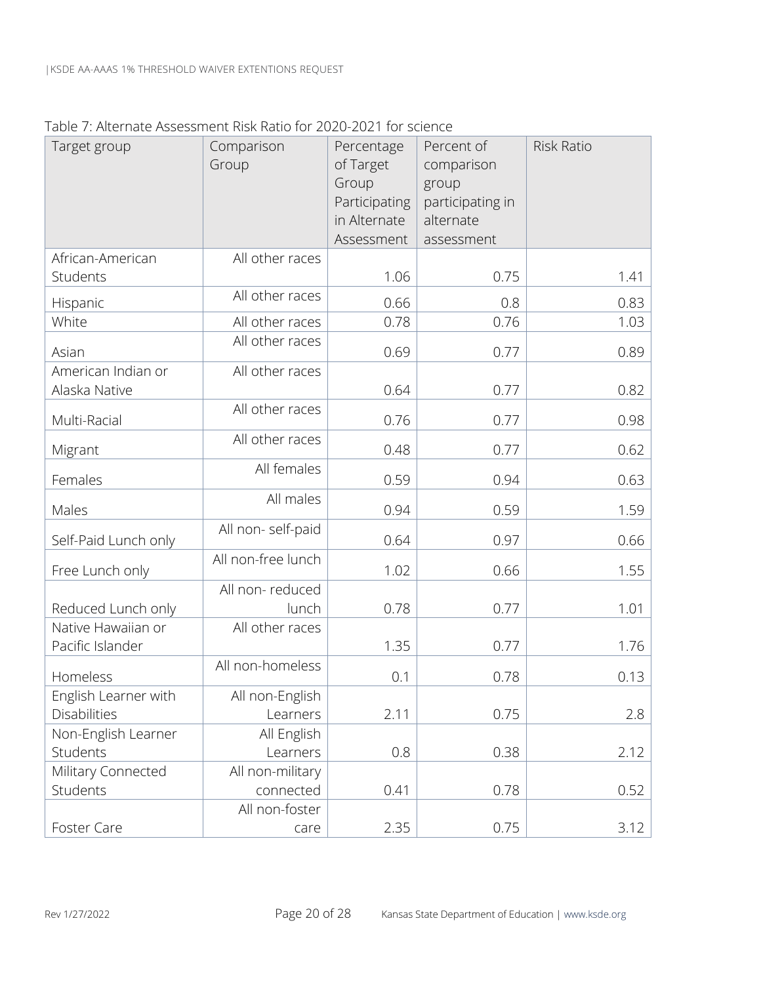Table 7: Alternate Assessment Risk Ratio for 2020-2021 for science

| Target group         | Comparison         | Percentage    | Percent of       | <b>Risk Ratio</b> |
|----------------------|--------------------|---------------|------------------|-------------------|
|                      | Group              | of Target     | comparison       |                   |
|                      |                    | Group         | group            |                   |
|                      |                    | Participating | participating in |                   |
|                      |                    | in Alternate  | alternate        |                   |
|                      |                    | Assessment    | assessment       |                   |
| African-American     | All other races    |               |                  |                   |
| Students             |                    | 1.06          | 0.75             | 1.41              |
| Hispanic             | All other races    | 0.66          | 0.8              | 0.83              |
| White                | All other races    | 0.78          | 0.76             | 1.03              |
| Asian                | All other races    | 0.69          | 0.77             | 0.89              |
| American Indian or   | All other races    |               |                  |                   |
| Alaska Native        |                    | 0.64          | 0.77             | 0.82              |
| Multi-Racial         | All other races    | 0.76          | 0.77             | 0.98              |
|                      | All other races    |               |                  |                   |
| Migrant              |                    | 0.48          | 0.77             | 0.62              |
| Females              | All females        | 0.59          | 0.94             | 0.63              |
| Males                | All males          | 0.94          | 0.59             | 1.59              |
| Self-Paid Lunch only | All non-self-paid  | 0.64          | 0.97             | 0.66              |
|                      | All non-free lunch |               |                  |                   |
| Free Lunch only      |                    | 1.02          | 0.66             | 1.55              |
|                      | All non-reduced    |               |                  |                   |
| Reduced Lunch only   | lunch              | 0.78          | 0.77             | 1.01              |
| Native Hawaiian or   | All other races    |               |                  |                   |
| Pacific Islander     |                    | 1.35          | 0.77             | 1.76              |
| Homeless             | All non-homeless   | 0.1           | 0.78             | 0.13              |
| English Learner with | All non-English    |               |                  |                   |
| Disabilities         | Learners           | 2.11          | 0.75             | 2.8               |
| Non-English Learner  | All English        |               |                  |                   |
| Students             | Learners           | 0.8           | 0.38             | 2.12              |
| Military Connected   | All non-military   |               |                  |                   |
| Students             | connected          | 0.41          | 0.78             | 0.52              |
|                      | All non-foster     |               |                  |                   |
| Foster Care          | care               | 2.35          | 0.75             | 3.12              |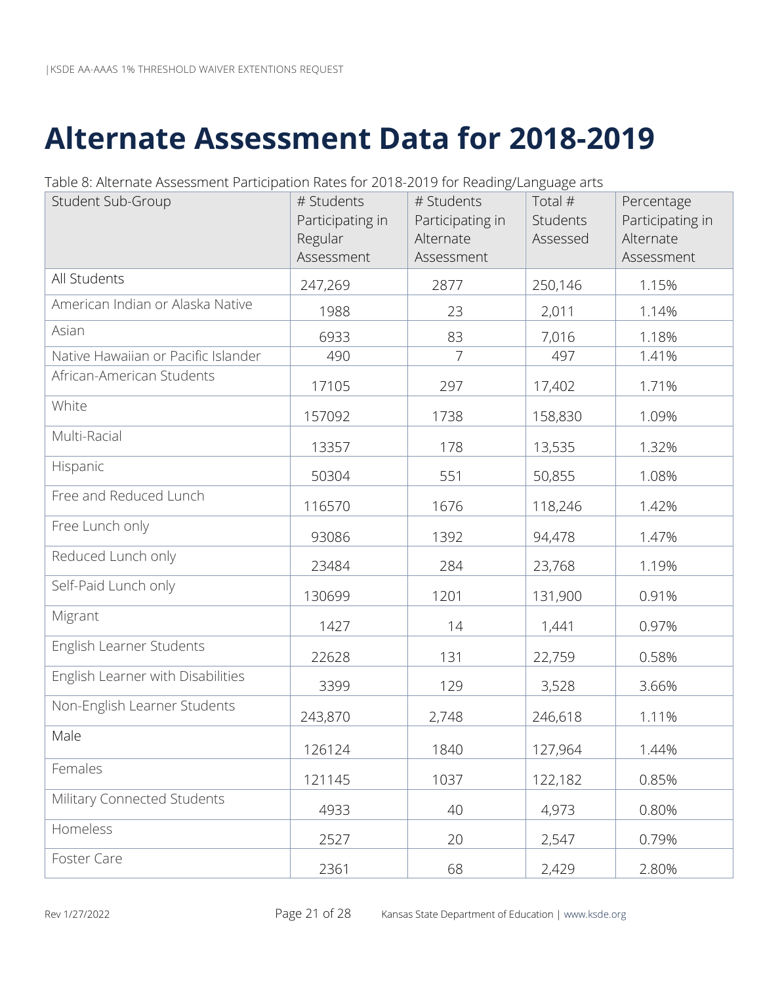# <span id="page-23-0"></span>**Alternate Assessment Data for 2018-2019**

| Table 8: Alternate Assessment Participation Rates for 2018-2019 for Reading/Language arts |  |  |
|-------------------------------------------------------------------------------------------|--|--|
|                                                                                           |  |  |

| Student Sub-Group                   | # Students<br>Participating in<br>Regular<br>Assessment | # Students<br>Participating in<br>Alternate<br>Assessment | Total #<br>Students<br>Assessed | Percentage<br>Participating in<br>Alternate<br>Assessment |
|-------------------------------------|---------------------------------------------------------|-----------------------------------------------------------|---------------------------------|-----------------------------------------------------------|
| All Students                        | 247,269                                                 | 2877                                                      | 250,146                         | 1.15%                                                     |
| American Indian or Alaska Native    | 1988                                                    | 23                                                        | 2,011                           | 1.14%                                                     |
| Asian                               | 6933                                                    | 83                                                        | 7,016                           | 1.18%                                                     |
| Native Hawaiian or Pacific Islander | 490                                                     | 7                                                         | 497                             | 1.41%                                                     |
| African-American Students           | 17105                                                   | 297                                                       | 17,402                          | 1.71%                                                     |
| White                               | 157092                                                  | 1738                                                      | 158,830                         | 1.09%                                                     |
| Multi-Racial                        | 13357                                                   | 178                                                       | 13,535                          | 1.32%                                                     |
| Hispanic                            | 50304                                                   | 551                                                       | 50,855                          | 1.08%                                                     |
| Free and Reduced Lunch              | 116570                                                  | 1676                                                      | 118,246                         | 1.42%                                                     |
| Free Lunch only                     | 93086                                                   | 1392                                                      | 94,478                          | 1.47%                                                     |
| Reduced Lunch only                  | 23484                                                   | 284                                                       | 23,768                          | 1.19%                                                     |
| Self-Paid Lunch only                | 130699                                                  | 1201                                                      | 131,900                         | 0.91%                                                     |
| Migrant                             | 1427                                                    | 14                                                        | 1,441                           | 0.97%                                                     |
| English Learner Students            | 22628                                                   | 131                                                       | 22,759                          | 0.58%                                                     |
| English Learner with Disabilities   | 3399                                                    | 129                                                       | 3,528                           | 3.66%                                                     |
| Non-English Learner Students        | 243,870                                                 | 2,748                                                     | 246,618                         | 1.11%                                                     |
| Male                                | 126124                                                  | 1840                                                      | 127,964                         | 1.44%                                                     |
| Females                             | 121145                                                  | 1037                                                      | 122,182                         | 0.85%                                                     |
| Military Connected Students         | 4933                                                    | 40                                                        | 4,973                           | 0.80%                                                     |
| Homeless                            | 2527                                                    | 20                                                        | 2,547                           | 0.79%                                                     |
| Foster Care                         | 2361                                                    | 68                                                        | 2,429                           | 2.80%                                                     |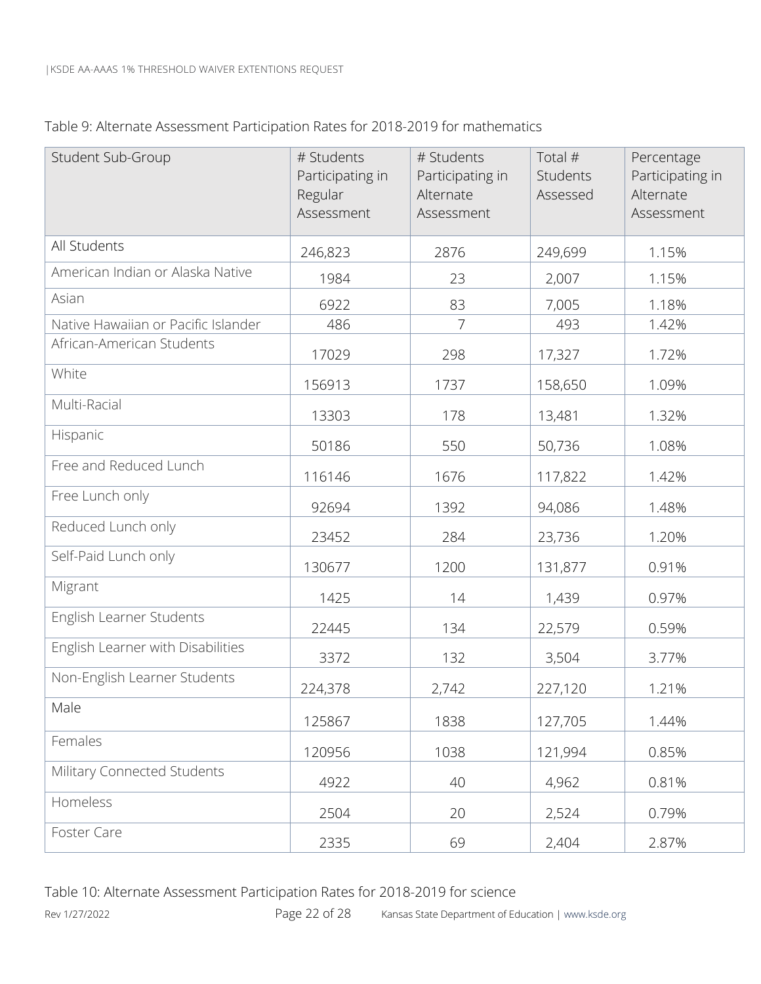| Table 9: Alternate Assessment Participation Rates for 2018-2019 for mathematics |  |  |
|---------------------------------------------------------------------------------|--|--|
|                                                                                 |  |  |

| Student Sub-Group                   | # Students<br>Participating in<br>Regular<br>Assessment | # Students<br>Participating in<br>Alternate<br>Assessment | Total $#$<br>Students<br>Assessed | Percentage<br>Participating in<br>Alternate<br>Assessment |
|-------------------------------------|---------------------------------------------------------|-----------------------------------------------------------|-----------------------------------|-----------------------------------------------------------|
| All Students                        | 246,823                                                 | 2876                                                      | 249,699                           | 1.15%                                                     |
| American Indian or Alaska Native    | 1984                                                    | 23                                                        | 2,007                             | 1.15%                                                     |
| Asian                               | 6922                                                    | 83                                                        | 7,005                             | 1.18%                                                     |
| Native Hawaiian or Pacific Islander | 486                                                     | 7                                                         | 493                               | 1.42%                                                     |
| African-American Students           | 17029                                                   | 298                                                       | 17,327                            | 1.72%                                                     |
| White                               | 156913                                                  | 1737                                                      | 158,650                           | 1.09%                                                     |
| Multi-Racial                        | 13303                                                   | 178                                                       | 13,481                            | 1.32%                                                     |
| Hispanic                            | 50186                                                   | 550                                                       | 50,736                            | 1.08%                                                     |
| Free and Reduced Lunch              | 116146                                                  | 1676                                                      | 117,822                           | 1.42%                                                     |
| Free Lunch only                     | 92694                                                   | 1392                                                      | 94,086                            | 1.48%                                                     |
| Reduced Lunch only                  | 23452                                                   | 284                                                       | 23,736                            | 1.20%                                                     |
| Self-Paid Lunch only                | 130677                                                  | 1200                                                      | 131,877                           | 0.91%                                                     |
| Migrant                             | 1425                                                    | 14                                                        | 1,439                             | 0.97%                                                     |
| English Learner Students            | 22445                                                   | 134                                                       | 22,579                            | 0.59%                                                     |
| English Learner with Disabilities   | 3372                                                    | 132                                                       | 3,504                             | 3.77%                                                     |
| Non-English Learner Students        | 224,378                                                 | 2,742                                                     | 227,120                           | 1.21%                                                     |
| Male                                | 125867                                                  | 1838                                                      | 127,705                           | 1.44%                                                     |
| Females                             | 120956                                                  | 1038                                                      | 121,994                           | 0.85%                                                     |
| Military Connected Students         | 4922                                                    | 40                                                        | 4,962                             | 0.81%                                                     |
| Homeless                            | 2504                                                    | 20                                                        | 2,524                             | 0.79%                                                     |
| Foster Care                         | 2335                                                    | 69                                                        | 2,404                             | 2.87%                                                     |

Rev 1/27/2022 **Page 22 of 28** Kansas State Department of Education | www.ksde.org Table 10: Alternate Assessment Participation Rates for 2018-2019 for science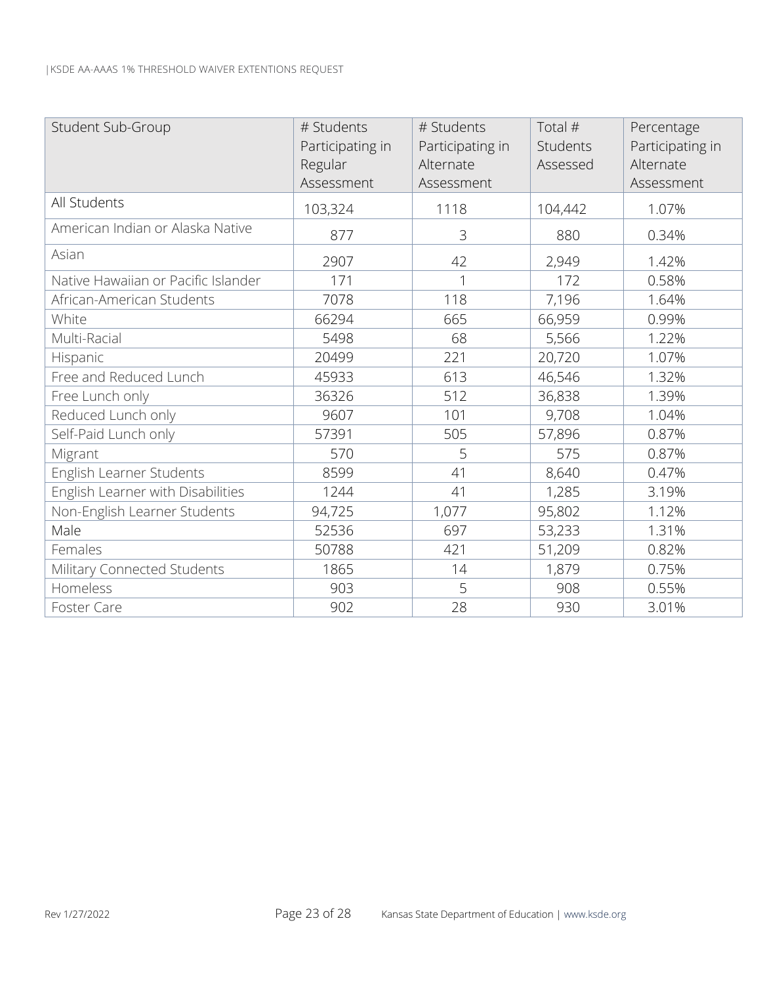| Student Sub-Group                   | # Students       | # Students       | Total #  | Percentage       |
|-------------------------------------|------------------|------------------|----------|------------------|
|                                     | Participating in | Participating in | Students | Participating in |
|                                     | Regular          | Alternate        | Assessed | Alternate        |
|                                     | Assessment       | Assessment       |          | Assessment       |
| All Students                        | 103,324          | 1118             | 104,442  | 1.07%            |
| American Indian or Alaska Native    | 877              | 3                | 880      | 0.34%            |
| Asian                               | 2907             | 42               | 2,949    | 1.42%            |
| Native Hawaiian or Pacific Islander | 171              | 1                | 172      | 0.58%            |
| African-American Students           | 7078             | 118              | 7,196    | 1.64%            |
| White                               | 66294            | 665              | 66,959   | 0.99%            |
| Multi-Racial                        | 5498             | 68               | 5,566    | 1.22%            |
| Hispanic                            | 20499            | 221              | 20,720   | 1.07%            |
| Free and Reduced Lunch              | 45933            | 613              | 46,546   | 1.32%            |
| Free Lunch only                     | 36326            | 512              | 36,838   | 1.39%            |
| Reduced Lunch only                  | 9607             | 101              | 9,708    | 1.04%            |
| Self-Paid Lunch only                | 57391            | 505              | 57,896   | 0.87%            |
| Migrant                             | 570              | 5                | 575      | 0.87%            |
| English Learner Students            | 8599             | 41               | 8,640    | 0.47%            |
| English Learner with Disabilities   | 1244             | 41               | 1,285    | 3.19%            |
| Non-English Learner Students        | 94,725           | 1,077            | 95,802   | 1.12%            |
| Male                                | 52536            | 697              | 53,233   | 1.31%            |
| Females                             | 50788            | 421              | 51,209   | 0.82%            |
| Military Connected Students         | 1865             | 14               | 1,879    | 0.75%            |
| Homeless                            | 903              | 5                | 908      | 0.55%            |
| Foster Care                         | 902              | 28               | 930      | 3.01%            |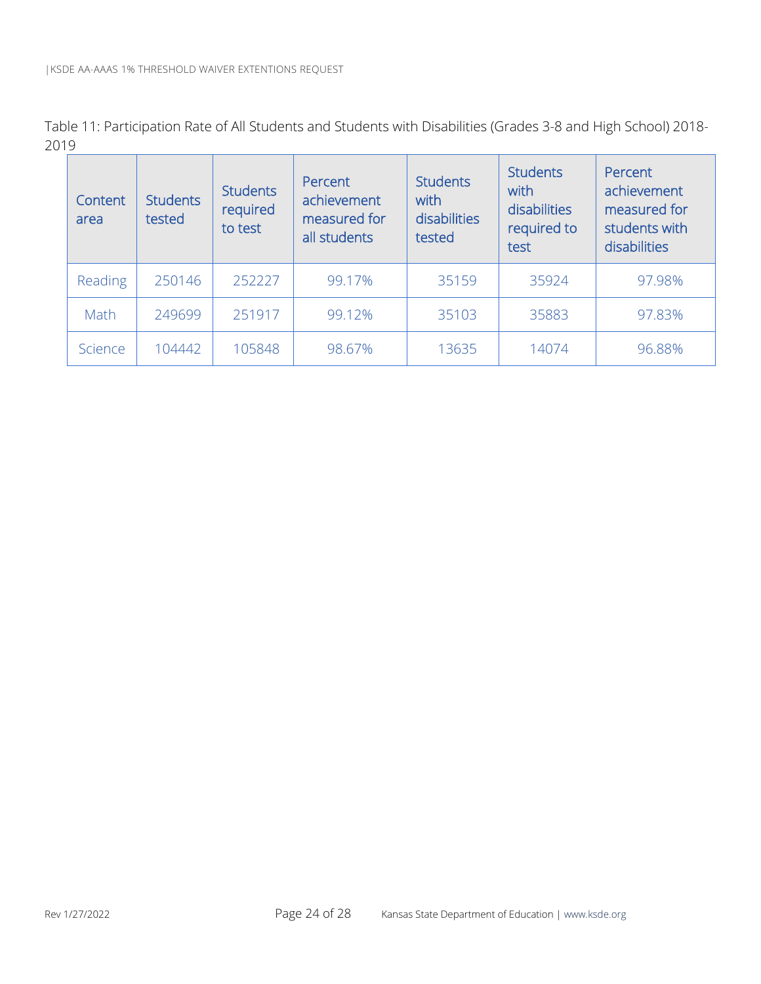Table 11: Participation Rate of All Students and Students with Disabilities (Grades 3-8 and High School) 2018- 2019

| Content<br>area | <b>Students</b><br>tested | <b>Students</b><br>required<br>to test | Percent<br>achievement<br>measured for<br>all students | <b>Students</b><br>with<br>disabilities<br>tested | <b>Students</b><br>with<br>disabilities<br>required to<br>test | Percent<br>achievement<br>measured for<br>students with<br>disabilities |
|-----------------|---------------------------|----------------------------------------|--------------------------------------------------------|---------------------------------------------------|----------------------------------------------------------------|-------------------------------------------------------------------------|
| Reading         | 250146                    | 252227                                 | 99.17%                                                 | 35159                                             | 35924                                                          | 97.98%                                                                  |
| Math            | 249699                    | 251917                                 | 99.12%                                                 | 35103                                             | 35883                                                          | 97.83%                                                                  |
| Science         | 104442                    | 105848                                 | 98.67%                                                 | 13635                                             | 14074                                                          | 96.88%                                                                  |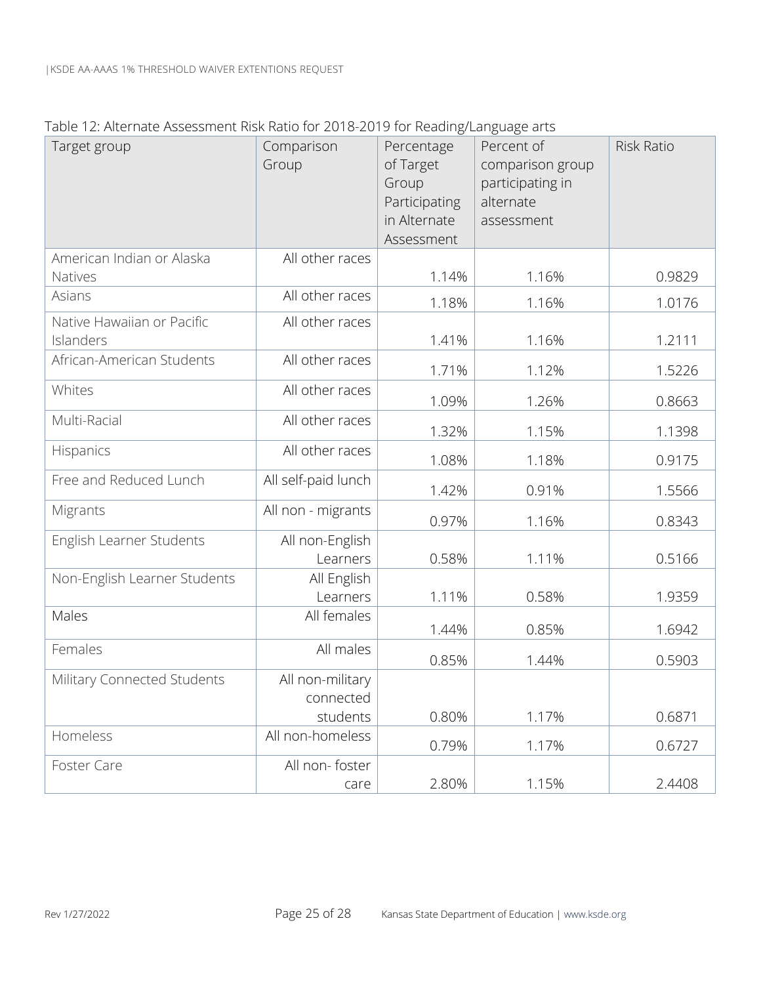|  |  |  | Table 12: Alternate Assessment Risk Ratio for 2018-2019 for Reading/Language arts |
|--|--|--|-----------------------------------------------------------------------------------|
|  |  |  |                                                                                   |

| member poessinent mon national zono zono nel nedali igredi igadge di to<br>Target group | Comparison<br>Group                       | Percentage<br>of Target<br>Group<br>Participating<br>in Alternate<br>Assessment | Percent of<br>comparison group<br>participating in<br>alternate<br>assessment | <b>Risk Ratio</b> |
|-----------------------------------------------------------------------------------------|-------------------------------------------|---------------------------------------------------------------------------------|-------------------------------------------------------------------------------|-------------------|
| American Indian or Alaska<br>Natives                                                    | All other races                           | 1.14%                                                                           | 1.16%                                                                         | 0.9829            |
| Asians                                                                                  | All other races                           | 1.18%                                                                           | 1.16%                                                                         | 1.0176            |
| Native Hawaiian or Pacific<br>Islanders                                                 | All other races                           | 1.41%                                                                           | 1.16%                                                                         | 1.2111            |
| African-American Students                                                               | All other races                           | 1.71%                                                                           | 1.12%                                                                         | 1.5226            |
| Whites                                                                                  | All other races                           | 1.09%                                                                           | 1.26%                                                                         | 0.8663            |
| Multi-Racial                                                                            | All other races                           | 1.32%                                                                           | 1.15%                                                                         | 1.1398            |
| Hispanics                                                                               | All other races                           | 1.08%                                                                           | 1.18%                                                                         | 0.9175            |
| Free and Reduced Lunch                                                                  | All self-paid lunch                       | 1.42%                                                                           | 0.91%                                                                         | 1.5566            |
| Migrants                                                                                | All non - migrants                        | 0.97%                                                                           | 1.16%                                                                         | 0.8343            |
| English Learner Students                                                                | All non-English<br>Learners               | 0.58%                                                                           | 1.11%                                                                         | 0.5166            |
| Non-English Learner Students                                                            | All English<br>Learners                   | 1.11%                                                                           | 0.58%                                                                         | 1.9359            |
| Males                                                                                   | All females                               | 1.44%                                                                           | 0.85%                                                                         | 1.6942            |
| Females                                                                                 | All males                                 | 0.85%                                                                           | 1.44%                                                                         | 0.5903            |
| Military Connected Students                                                             | All non-military<br>connected<br>students | 0.80%                                                                           | 1.17%                                                                         | 0.6871            |
| Homeless                                                                                | All non-homeless                          | 0.79%                                                                           | 1.17%                                                                         | 0.6727            |
| <b>Foster Care</b>                                                                      | All non-foster<br>care                    | 2.80%                                                                           | 1.15%                                                                         | 2.4408            |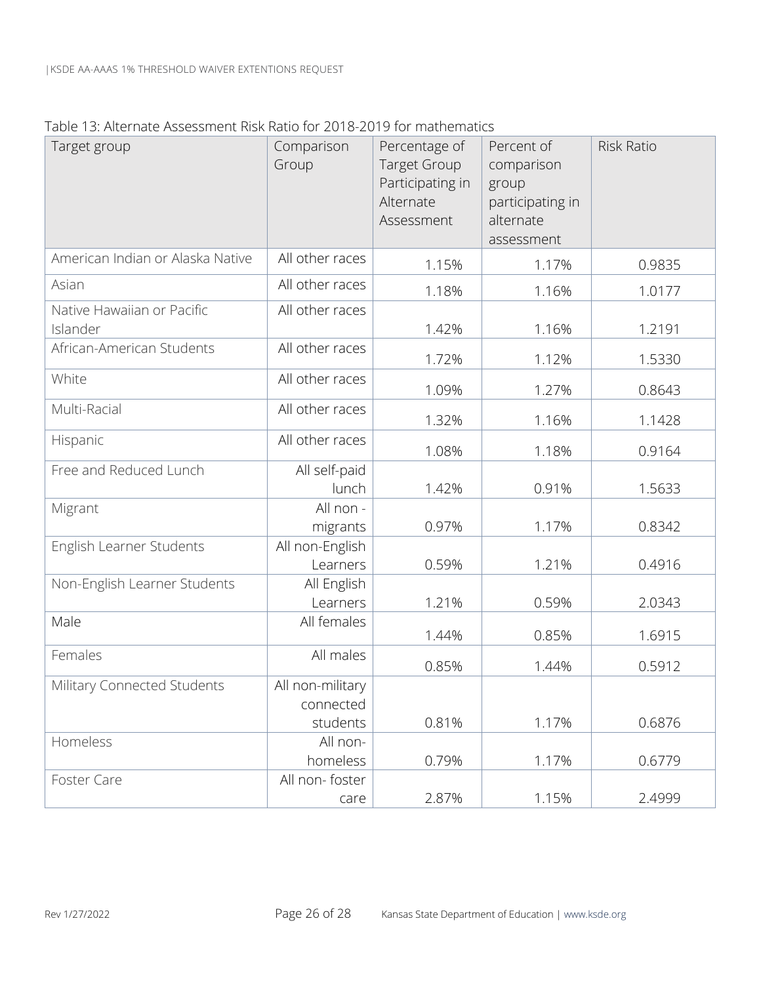#### Table 13: Alternate Assessment Risk Ratio for 2018-2019 for mathematics

| Target group                           | Comparison<br>Group                       | Percentage of<br><b>Target Group</b><br>Participating in<br>Alternate<br>Assessment | Percent of<br>comparison<br>group<br>participating in<br>alternate<br>assessment | <b>Risk Ratio</b> |
|----------------------------------------|-------------------------------------------|-------------------------------------------------------------------------------------|----------------------------------------------------------------------------------|-------------------|
| American Indian or Alaska Native       | All other races                           | 1.15%                                                                               | 1.17%                                                                            | 0.9835            |
| Asian                                  | All other races                           | 1.18%                                                                               | 1.16%                                                                            | 1.0177            |
| Native Hawaiian or Pacific<br>Islander | All other races                           | 1.42%                                                                               | 1.16%                                                                            | 1.2191            |
| African-American Students              | All other races                           | 1.72%                                                                               | 1.12%                                                                            | 1.5330            |
| White                                  | All other races                           | 1.09%                                                                               | 1.27%                                                                            | 0.8643            |
| Multi-Racial                           | All other races                           | 1.32%                                                                               | 1.16%                                                                            | 1.1428            |
| Hispanic                               | All other races                           | 1.08%                                                                               | 1.18%                                                                            | 0.9164            |
| Free and Reduced Lunch                 | All self-paid<br>lunch                    | 1.42%                                                                               | 0.91%                                                                            | 1.5633            |
| Migrant                                | All non -<br>migrants                     | 0.97%                                                                               | 1.17%                                                                            | 0.8342            |
| English Learner Students               | All non-English<br>Learners               | 0.59%                                                                               | 1.21%                                                                            | 0.4916            |
| Non-English Learner Students           | All English<br>Learners                   | 1.21%                                                                               | 0.59%                                                                            | 2.0343            |
| Male                                   | All females                               | 1.44%                                                                               | 0.85%                                                                            | 1.6915            |
| Females                                | All males                                 | 0.85%                                                                               | 1.44%                                                                            | 0.5912            |
| Military Connected Students            | All non-military<br>connected<br>students | 0.81%                                                                               | 1.17%                                                                            | 0.6876            |
| Homeless                               | All non-<br>homeless                      | 0.79%                                                                               | 1.17%                                                                            | 0.6779            |
| Foster Care                            | All non-foster<br>care                    | 2.87%                                                                               | 1.15%                                                                            | 2.4999            |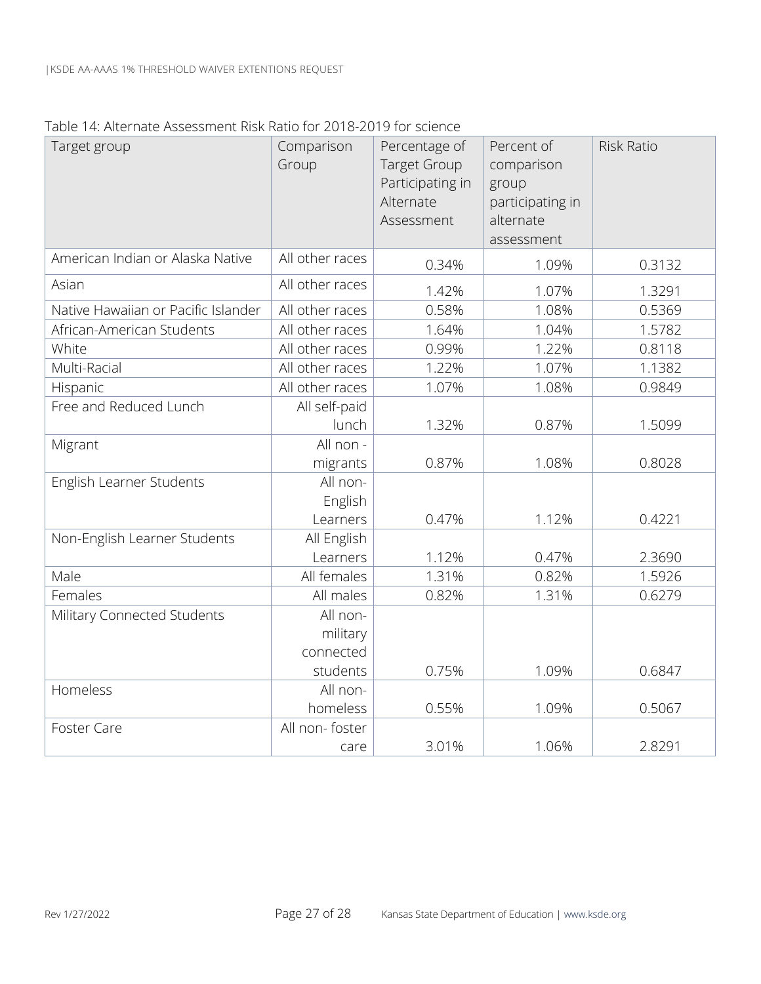| Table 14: Alternate Assessment Risk Ratio for 2018-2019 for science |  |  |
|---------------------------------------------------------------------|--|--|
|                                                                     |  |  |
|                                                                     |  |  |

| Target group                        | Comparison<br>Group               | Percentage of<br><b>Target Group</b><br>Participating in<br>Alternate<br>Assessment | Percent of<br>comparison<br>group<br>participating in<br>alternate<br>assessment | <b>Risk Ratio</b> |
|-------------------------------------|-----------------------------------|-------------------------------------------------------------------------------------|----------------------------------------------------------------------------------|-------------------|
| American Indian or Alaska Native    | All other races                   | 0.34%                                                                               | 1.09%                                                                            | 0.3132            |
| Asian                               | All other races                   | 1.42%                                                                               | 1.07%                                                                            | 1.3291            |
| Native Hawaiian or Pacific Islander | All other races                   | 0.58%                                                                               | 1.08%                                                                            | 0.5369            |
| African-American Students           | All other races                   | 1.64%                                                                               | 1.04%                                                                            | 1.5782            |
| White                               | All other races                   | 0.99%                                                                               | 1.22%                                                                            | 0.8118            |
| Multi-Racial                        | All other races                   | 1.22%                                                                               | 1.07%                                                                            | 1.1382            |
| Hispanic                            | All other races                   | 1.07%                                                                               | 1.08%                                                                            | 0.9849            |
| Free and Reduced Lunch              | All self-paid<br>lunch            | 1.32%                                                                               | 0.87%                                                                            | 1.5099            |
| Migrant                             | All non -<br>migrants             | 0.87%                                                                               | 1.08%                                                                            | 0.8028            |
| English Learner Students            | All non-<br>English<br>Learners   | 0.47%                                                                               | 1.12%                                                                            | 0.4221            |
| Non-English Learner Students        | All English<br>Learners           | 1.12%                                                                               | 0.47%                                                                            | 2.3690            |
| Male                                | All females                       | 1.31%                                                                               | 0.82%                                                                            | 1.5926            |
| Females                             | All males                         | 0.82%                                                                               | 1.31%                                                                            | 0.6279            |
| Military Connected Students         | All non-<br>military<br>connected |                                                                                     |                                                                                  |                   |
|                                     | students                          | 0.75%                                                                               | 1.09%                                                                            | 0.6847            |
| Homeless                            | All non-<br>homeless              | 0.55%                                                                               | 1.09%                                                                            | 0.5067            |
| <b>Foster Care</b>                  | All non-foster<br>care            | 3.01%                                                                               | 1.06%                                                                            | 2.8291            |